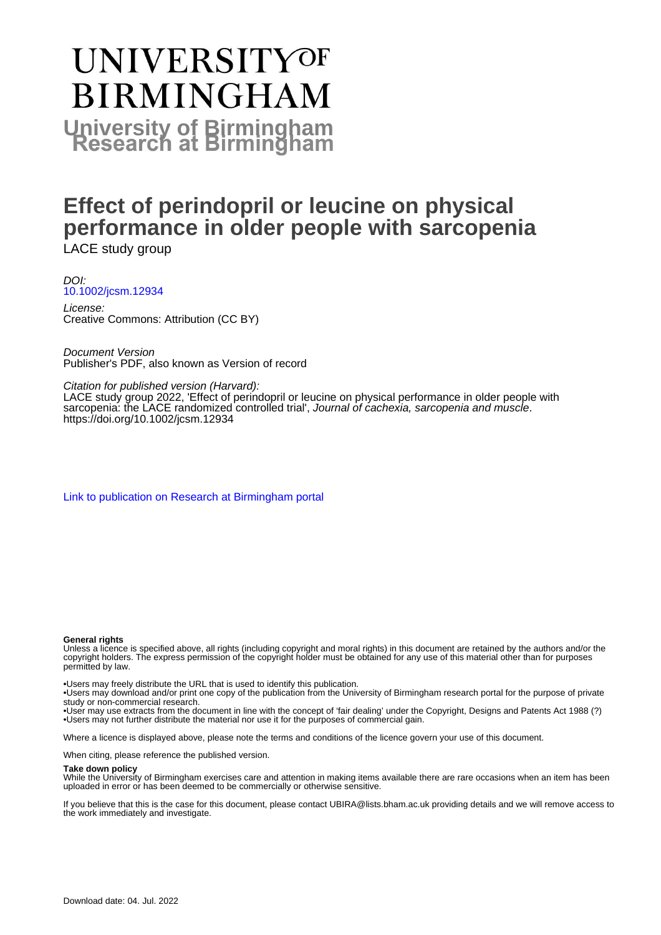# **UNIVERSITYOF BIRMINGHAM University of Birmingham**

## **Effect of perindopril or leucine on physical performance in older people with sarcopenia** LACE study group

DOI: [10.1002/jcsm.12934](https://doi.org/10.1002/jcsm.12934)

License: Creative Commons: Attribution (CC BY)

Document Version Publisher's PDF, also known as Version of record

Citation for published version (Harvard):

LACE study group 2022, 'Effect of perindopril or leucine on physical performance in older people with sarcopenia: the LACE randomized controlled trial', Journal of cachexia, sarcopenia and muscle. <https://doi.org/10.1002/jcsm.12934>

[Link to publication on Research at Birmingham portal](https://birmingham.elsevierpure.com/en/publications/2e61b0e6-df45-4c3f-bdc9-e52dc84ced35)

#### **General rights**

Unless a licence is specified above, all rights (including copyright and moral rights) in this document are retained by the authors and/or the copyright holders. The express permission of the copyright holder must be obtained for any use of this material other than for purposes permitted by law.

• Users may freely distribute the URL that is used to identify this publication.

• Users may download and/or print one copy of the publication from the University of Birmingham research portal for the purpose of private study or non-commercial research.

• User may use extracts from the document in line with the concept of 'fair dealing' under the Copyright, Designs and Patents Act 1988 (?) • Users may not further distribute the material nor use it for the purposes of commercial gain.

Where a licence is displayed above, please note the terms and conditions of the licence govern your use of this document.

When citing, please reference the published version.

#### **Take down policy**

While the University of Birmingham exercises care and attention in making items available there are rare occasions when an item has been uploaded in error or has been deemed to be commercially or otherwise sensitive.

If you believe that this is the case for this document, please contact UBIRA@lists.bham.ac.uk providing details and we will remove access to the work immediately and investigate.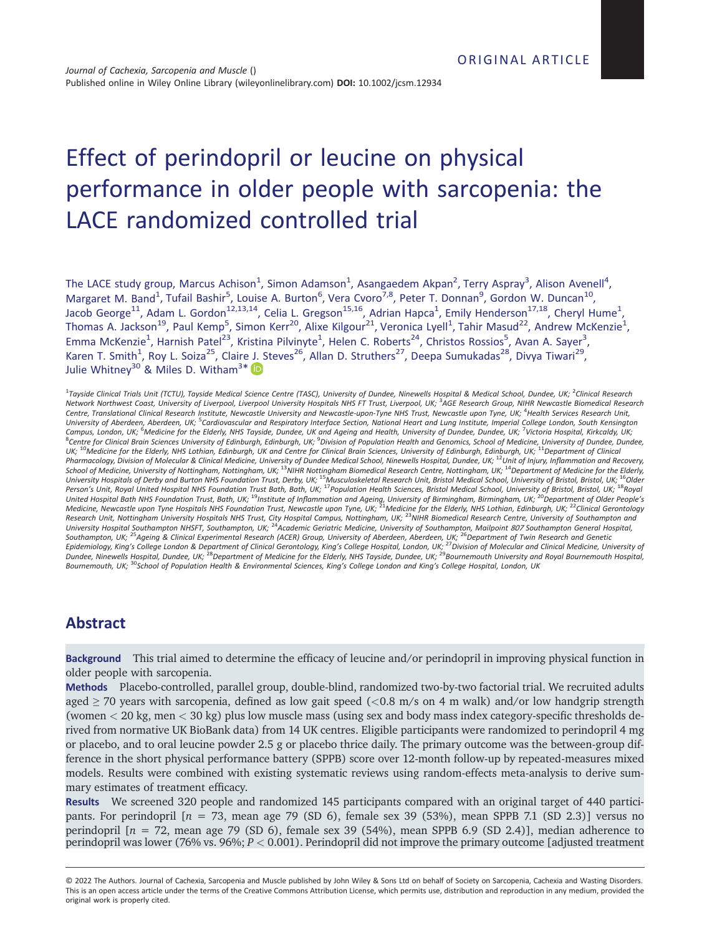## Effect of perindopril or leucine on physical performance in older people with sarcopenia: the LACE randomized controlled trial

The LACE study group, Marcus Achison<sup>1</sup>, Simon Adamson<sup>1</sup>, Asangaedem Akpan<sup>2</sup>, Terry Aspray<sup>3</sup>, Alison Avenell<sup>4</sup>, Margaret M. Band<sup>1</sup>, Tufail Bashir<sup>5</sup>, Louise A. Burton<sup>6</sup>, Vera Cvoro<sup>7,8</sup>, Peter T. Donnan<sup>9</sup>, Gordon W. Duncan<sup>10</sup>, Jacob George<sup>11</sup>, Adam L. Gordon<sup>12,13,14</sup>, Celia L. Gregson<sup>15,16</sup>, Adrian Hapca<sup>1</sup>, Emily Henderson<sup>17,18</sup>, Cheryl Hume<sup>1</sup>, Thomas A. Jackson<sup>19</sup>, Paul Kemp<sup>5</sup>, Simon Kerr<sup>20</sup>, Alixe Kilgour<sup>21</sup>, Veronica Lyell<sup>1</sup>, Tahir Masud<sup>22</sup>, Andrew McKenzie<sup>1</sup>, Emma McKenzie<sup>1</sup>, Harnish Patel<sup>23</sup>, Kristina Pilvinyte<sup>1</sup>, Helen C. Roberts<sup>24</sup>, Christos Rossios<sup>5</sup>, Avan A. Sayer<sup>3</sup>, Karen T. Smith<sup>1</sup>, Roy L. Soiza<sup>25</sup>, Claire J. Steves<sup>26</sup>, Allan D. Struthers<sup>27</sup>, Deepa Sumukadas<sup>28</sup>, Divya Tiwari<sup>29</sup>, Julie Whitney $^{30}$  & Miles D. Witham $^{3\ast}$ 

1 *Tayside Clinical Trials Unit (TCTU), Tayside Medical Science Centre (TASC), University of Dundee, Ninewells Hospital & Medical School, Dundee, UK;* <sup>2</sup> *Clinical Research Network Northwest Coast, University of Liverpool, Liverpool University Hospitals NHS FT Trust, Liverpool, UK;* <sup>3</sup> *AGE Research Group, NIHR Newcastle Biomedical Research Centre, Translational Clinical Research Institute, Newcastle University and Newcastle-upon-Tyne NHS Trust, Newcastle upon Tyne, UK;* <sup>4</sup> *Health Services Research Unit, University of Aberdeen, Aberdeen, UK;* <sup>5</sup> *Cardiovascular and Respiratory Interface Section, National Heart and Lung Institute, Imperial College London, South Kensington* Campus, London, UK; <sup>6</sup>Medicine for the Elderly, NHS Tayside, Dundee, UK and Ageing and Health, University of Dundee, Dundee, UK; <sup>7</sup>Victoria Hospital, Kirkcaldy, UK;<br><sup>8</sup>Centre for Clinical Brain Sciences University of Edi *UK;* <sup>10</sup>*Medicine for the Elderly, NHS Lothian, Edinburgh, UK and Centre for Clinical Brain Sciences, University of Edinburgh, Edinburgh, UK;* <sup>11</sup>*Department of Clinical* Pharmacology, Division of Molecular & Clinical Medicine, University of Dundee Medical School, Ninewells Hospital, Dundee, UK; <sup>12</sup>Unit of Injury, Inflammation and Recovery,<br>School of Medicine, University of Nottingham, Not *University Hospitals of Derby and Burton NHS Foundation Trust, Derby, UK;* <sup>15</sup>*Musculoskeletal Research Unit, Bristol Medical School, University of Bristol, Bristol, UK;* <sup>16</sup>*Older* Person's Unit, Royal United Hospital NHS Foundation Trust Bath, Bath, UK; <sup>17</sup>Population Health Sciences, Bristol Medical School, University of Bristol, Bristol, UK; <sup>18</sup>Royal<br>United Hospital Bath NHS Foundation Trust, Bat Research Unit, Nottingham University Hospitals NHS Trust, City Hospital Campus, Nottingham, UK; <sup>23</sup>NIHR Biomedical Research Centre, University of Southampton and<br>University Hospital Southampton NHSFT, Southampton, UK; <sup>24</sup> Southampton, UK; <sup>25</sup>Ageing & Clinical Experimental Research (ACER) Group, University of Aberdeen, Aberdeen, UK; <sup>26</sup>Department of Twin Research and Genetic<br>Epidemiology, King's College London & Department of Clinical Gero *Bournemouth, UK;* <sup>30</sup>*School of Population Health & Environmental Sciences, King's College London and King's College Hospital, London, UK*

### **Abstract**

**Background** This trial aimed to determine the efficacy of leucine and/or perindopril in improving physical function in older people with sarcopenia.

**Methods** Placebo-controlled, parallel group, double-blind, randomized two-by-two factorial trial. We recruited adults aged ≥ 70 years with sarcopenia, defined as low gait speed (*<*0.8 m/s on 4 m walk) and/or low handgrip strength (women *<* 20 kg, men *<* 30 kg) plus low muscle mass (using sex and body mass index category-specific thresholds derived from normative UK BioBank data) from 14 UK centres. Eligible participants were randomized to perindopril 4 mg or placebo, and to oral leucine powder 2.5 g or placebo thrice daily. The primary outcome was the between-group difference in the short physical performance battery (SPPB) score over 12-month follow-up by repeated-measures mixed models. Results were combined with existing systematic reviews using random-effects meta-analysis to derive summary estimates of treatment efficacy.

**Results** We screened 320 people and randomized 145 participants compared with an original target of 440 participants. For perindopril [*n* = 73, mean age 79 (SD 6), female sex 39 (53%), mean SPPB 7.1 (SD 2.3)] versus no perindopril [*n* = 72, mean age 79 (SD 6), female sex 39 (54%), mean SPPB 6.9 (SD 2.4)], median adherence to perindopril was lower (76% vs. 96%; *P <* 0.001). Perindopril did not improve the primary outcome [adjusted treatment

<sup>© 2022</sup> The Authors. Journal of Cachexia, Sarcopenia and Muscle published by John Wiley & Sons Ltd on behalf of Society on Sarcopenia, Cachexia and Wasting Disorders. This is an open access article under the terms of the [Creative Commons Attribution](http://creativecommons.org/licenses/by/4.0/) License, which permits use, distribution and reproduction in any medium, provided the original work is properly cited.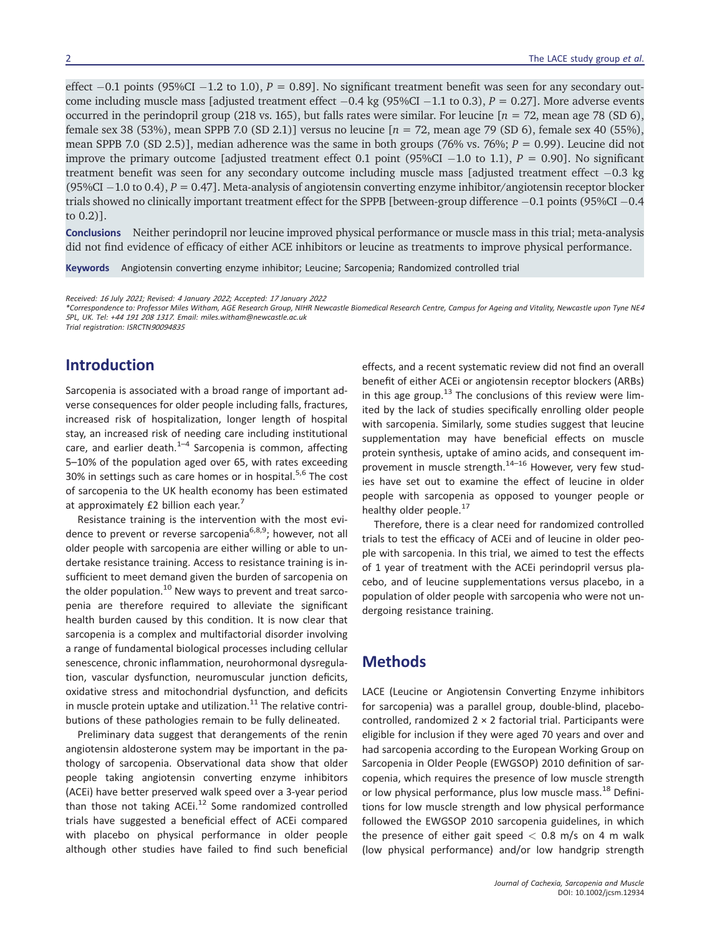effect  $-0.1$  points (95%CI  $-1.2$  to 1.0),  $P = 0.891$ . No significant treatment benefit was seen for any secondary outcome including muscle mass [adjusted treatment effect  $-0.4$  kg (95%CI  $-1.1$  to 0.3),  $P = 0.27$ ]. More adverse events occurred in the perindopril group (218 vs. 165), but falls rates were similar. For leucine [*n* = 72, mean age 78 (SD 6), female sex 38 (53%), mean SPPB 7.0 (SD 2.1)] versus no leucine [*n* = 72, mean age 79 (SD 6), female sex 40 (55%), mean SPPB 7.0 (SD 2.5)], median adherence was the same in both groups (76% vs. 76%; *P* = 0.99). Leucine did not improve the primary outcome [adjusted treatment effect 0.1 point (95%CI  $-1.0$  to 1.1),  $P = 0.901$ . No significant treatment benefit was seen for any secondary outcome including muscle mass [adjusted treatment effect  $-0.3$  kg (95%CI  $-1.0$  to 0.4),  $P = 0.47$ . Meta-analysis of angiotensin converting enzyme inhibitor/angiotensin receptor blocker trials showed no clinically important treatment effect for the SPPB [between-group difference  $-0.1$  points (95%CI  $-0.4$ ) to 0.2)].

**Conclusions** Neither perindopril nor leucine improved physical performance or muscle mass in this trial; meta-analysis did not find evidence of efficacy of either ACE inhibitors or leucine as treatments to improve physical performance.

**Keywords** Angiotensin converting enzyme inhibitor; Leucine; Sarcopenia; Randomized controlled trial

*Received: <sup>16</sup> July <sup>2021</sup>; Revised: <sup>4</sup> January <sup>2022</sup>; Accepted: <sup>17</sup> January <sup>2022</sup>*

*\*Correspondence to: Professor Miles Witham, AGE Research Group, NIHR Newcastle Biomedical Research Centre, Campus for Ageing and Vitality, Newcastle upon Tyne NE<sup>4</sup> <sup>5</sup>PL, UK. Tel: +<sup>44</sup> <sup>191</sup> <sup>208</sup> <sup>1317</sup>. Email: [miles.witham@newcastle.ac.uk](mailto:miles.witham@newcastle.ac.uk)*

*Trial registration: ISRCTN<sup>90094835</sup>*

## **Introduction**

Sarcopenia is associated with a broad range of important adverse consequences for older people including falls, fractures, increased risk of hospitalization, longer length of hospital stay, an increased risk of needing care including institutional care, and earlier death. $1-4$  Sarcopenia is common, affecting 5–10% of the population aged over 65, with rates exceeding 30% in settings such as care homes or in hospital.<sup>5,6</sup> The cost of sarcopenia to the UK health economy has been estimated at approximately £2 billion each year.<sup>7</sup>

Resistance training is the intervention with the most evidence to prevent or reverse sarcopenia<sup>6,8,9</sup>; however, not all older people with sarcopenia are either willing or able to undertake resistance training. Access to resistance training is insufficient to meet demand given the burden of sarcopenia on the older population.<sup>10</sup> New ways to prevent and treat sarcopenia are therefore required to alleviate the significant health burden caused by this condition. It is now clear that sarcopenia is a complex and multifactorial disorder involving a range of fundamental biological processes including cellular senescence, chronic inflammation, neurohormonal dysregulation, vascular dysfunction, neuromuscular junction deficits, oxidative stress and mitochondrial dysfunction, and deficits in muscle protein uptake and utilization. $11$  The relative contributions of these pathologies remain to be fully delineated.

Preliminary data suggest that derangements of the renin angiotensin aldosterone system may be important in the pathology of sarcopenia. Observational data show that older people taking angiotensin converting enzyme inhibitors (ACEi) have better preserved walk speed over a 3-year period than those not taking ACEi. $^{12}$  Some randomized controlled trials have suggested a beneficial effect of ACEi compared with placebo on physical performance in older people although other studies have failed to find such beneficial

effects, and a recent systematic review did not find an overall benefit of either ACEi or angiotensin receptor blockers (ARBs) in this age group.<sup>13</sup> The conclusions of this review were limited by the lack of studies specifically enrolling older people with sarcopenia. Similarly, some studies suggest that leucine supplementation may have beneficial effects on muscle protein synthesis, uptake of amino acids, and consequent improvement in muscle strength.<sup>14-16</sup> However, very few studies have set out to examine the effect of leucine in older people with sarcopenia as opposed to younger people or healthy older people.<sup>17</sup>

Therefore, there is a clear need for randomized controlled trials to test the efficacy of ACEi and of leucine in older people with sarcopenia. In this trial, we aimed to test the effects of 1 year of treatment with the ACEi perindopril versus placebo, and of leucine supplementations versus placebo, in a population of older people with sarcopenia who were not undergoing resistance training.

#### **Methods**

LACE (Leucine or Angiotensin Converting Enzyme inhibitors for sarcopenia) was a parallel group, double-blind, placebocontrolled, randomized 2 × 2 factorial trial. Participants were eligible for inclusion if they were aged 70 years and over and had sarcopenia according to the European Working Group on Sarcopenia in Older People (EWGSOP) 2010 definition of sarcopenia, which requires the presence of low muscle strength or low physical performance, plus low muscle mass.<sup>18</sup> Definitions for low muscle strength and low physical performance followed the EWGSOP 2010 sarcopenia guidelines, in which the presence of either gait speed *<* 0.8 m/s on 4 m walk (low physical performance) and/or low handgrip strength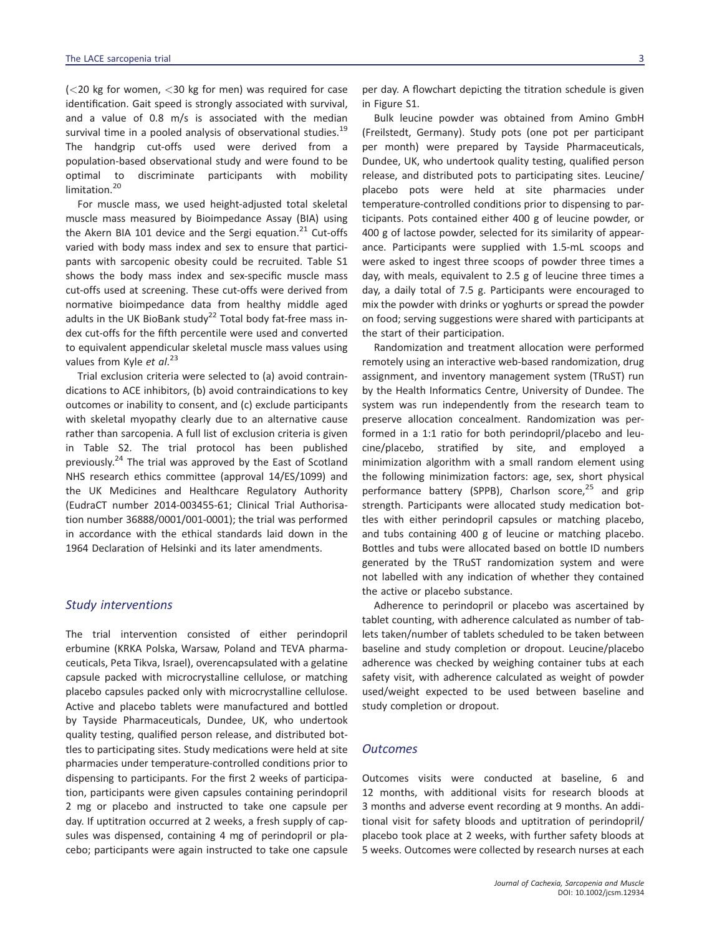(*<*20 kg for women, *<*30 kg for men) was required for case identification. Gait speed is strongly associated with survival, and a value of 0.8 m/s is associated with the median survival time in a pooled analysis of observational studies.<sup>19</sup> The handgrip cut-offs used were derived from a population-based observational study and were found to be optimal to discriminate participants with mobility limitation.<sup>20</sup>

For muscle mass, we used height-adjusted total skeletal muscle mass measured by Bioimpedance Assay (BIA) using the Akern BIA 101 device and the Sergi equation.<sup>21</sup> Cut-offs varied with body mass index and sex to ensure that participants with sarcopenic obesity could be recruited. Table S1 shows the body mass index and sex-specific muscle mass cut-offs used at screening. These cut-offs were derived from normative bioimpedance data from healthy middle aged adults in the UK BioBank study<sup>22</sup> Total body fat-free mass index cut-offs for the fifth percentile were used and converted to equivalent appendicular skeletal muscle mass values using values from Kyle *et al*. 23

Trial exclusion criteria were selected to (a) avoid contraindications to ACE inhibitors, (b) avoid contraindications to key outcomes or inability to consent, and (c) exclude participants with skeletal myopathy clearly due to an alternative cause rather than sarcopenia. A full list of exclusion criteria is given in Table S2. The trial protocol has been published previously.<sup>24</sup> The trial was approved by the East of Scotland NHS research ethics committee (approval 14/ES/1099) and the UK Medicines and Healthcare Regulatory Authority (EudraCT number 2014-003455-61; Clinical Trial Authorisation number 36888/0001/001-0001); the trial was performed in accordance with the ethical standards laid down in the 1964 Declaration of Helsinki and its later amendments.

#### *Study interventions*

The trial intervention consisted of either perindopril erbumine (KRKA Polska, Warsaw, Poland and TEVA pharmaceuticals, Peta Tikva, Israel), overencapsulated with a gelatine capsule packed with microcrystalline cellulose, or matching placebo capsules packed only with microcrystalline cellulose. Active and placebo tablets were manufactured and bottled by Tayside Pharmaceuticals, Dundee, UK, who undertook quality testing, qualified person release, and distributed bottles to participating sites. Study medications were held at site pharmacies under temperature-controlled conditions prior to dispensing to participants. For the first 2 weeks of participation, participants were given capsules containing perindopril 2 mg or placebo and instructed to take one capsule per day. If uptitration occurred at 2 weeks, a fresh supply of capsules was dispensed, containing 4 mg of perindopril or placebo; participants were again instructed to take one capsule

per day. A flowchart depicting the titration schedule is given in Figure S1.

Bulk leucine powder was obtained from Amino GmbH (Freilstedt, Germany). Study pots (one pot per participant per month) were prepared by Tayside Pharmaceuticals, Dundee, UK, who undertook quality testing, qualified person release, and distributed pots to participating sites. Leucine/ placebo pots were held at site pharmacies under temperature-controlled conditions prior to dispensing to participants. Pots contained either 400 g of leucine powder, or 400 g of lactose powder, selected for its similarity of appearance. Participants were supplied with 1.5-mL scoops and were asked to ingest three scoops of powder three times a day, with meals, equivalent to 2.5 g of leucine three times a day, a daily total of 7.5 g. Participants were encouraged to mix the powder with drinks or yoghurts or spread the powder on food; serving suggestions were shared with participants at the start of their participation.

Randomization and treatment allocation were performed remotely using an interactive web-based randomization, drug assignment, and inventory management system (TRuST) run by the Health Informatics Centre, University of Dundee. The system was run independently from the research team to preserve allocation concealment. Randomization was performed in a 1:1 ratio for both perindopril/placebo and leucine/placebo, stratified by site, and employed a minimization algorithm with a small random element using the following minimization factors: age, sex, short physical performance battery (SPPB), Charlson score, $25$  and grip strength. Participants were allocated study medication bottles with either perindopril capsules or matching placebo, and tubs containing 400 g of leucine or matching placebo. Bottles and tubs were allocated based on bottle ID numbers generated by the TRuST randomization system and were not labelled with any indication of whether they contained the active or placebo substance.

Adherence to perindopril or placebo was ascertained by tablet counting, with adherence calculated as number of tablets taken/number of tablets scheduled to be taken between baseline and study completion or dropout. Leucine/placebo adherence was checked by weighing container tubs at each safety visit, with adherence calculated as weight of powder used/weight expected to be used between baseline and study completion or dropout.

#### *Outcomes*

Outcomes visits were conducted at baseline, 6 and 12 months, with additional visits for research bloods at 3 months and adverse event recording at 9 months. An additional visit for safety bloods and uptitration of perindopril/ placebo took place at 2 weeks, with further safety bloods at 5 weeks. Outcomes were collected by research nurses at each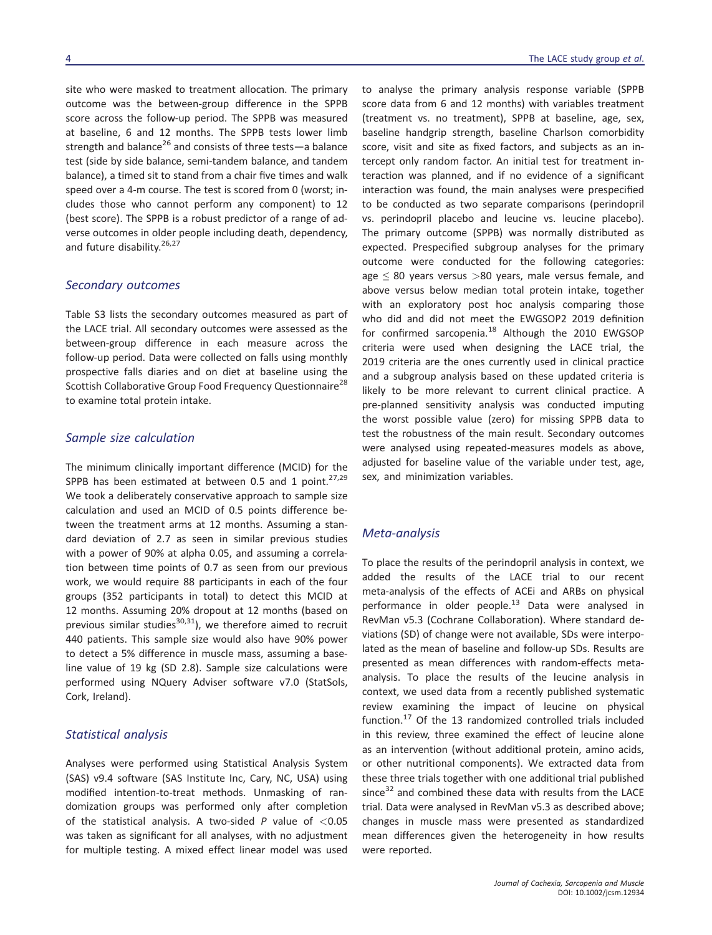outcome was the between-group difference in the SPPB score across the follow-up period. The SPPB was measured at baseline, 6 and 12 months. The SPPB tests lower limb strength and balance<sup>26</sup> and consists of three tests—a balance test (side by side balance, semi-tandem balance, and tandem balance), a timed sit to stand from a chair five times and walk speed over a 4-m course. The test is scored from 0 (worst; includes those who cannot perform any component) to 12 (best score). The SPPB is a robust predictor of a range of adverse outcomes in older people including death, dependency, and future disability.<sup>26,27</sup>

#### *Secondary outcomes*

Table S3 lists the secondary outcomes measured as part of the LACE trial. All secondary outcomes were assessed as the between-group difference in each measure across the follow-up period. Data were collected on falls using monthly prospective falls diaries and on diet at baseline using the Scottish Collaborative Group Food Frequency Questionnaire<sup>28</sup> to examine total protein intake.

#### *Sample size calculation*

The minimum clinically important difference (MCID) for the SPPB has been estimated at between 0.5 and 1 point.<sup>27,29</sup> We took a deliberately conservative approach to sample size calculation and used an MCID of 0.5 points difference between the treatment arms at 12 months. Assuming a standard deviation of 2.7 as seen in similar previous studies with a power of 90% at alpha 0.05, and assuming a correlation between time points of 0.7 as seen from our previous work, we would require 88 participants in each of the four groups (352 participants in total) to detect this MCID at 12 months. Assuming 20% dropout at 12 months (based on previous similar studies<sup>30,31</sup>), we therefore aimed to recruit 440 patients. This sample size would also have 90% power to detect a 5% difference in muscle mass, assuming a baseline value of 19 kg (SD 2.8). Sample size calculations were performed using NQuery Adviser software v7.0 (StatSols, Cork, Ireland).

#### *Statistical analysis*

Analyses were performed using Statistical Analysis System (SAS) v9.4 software (SAS Institute Inc, Cary, NC, USA) using modified intention-to-treat methods. Unmasking of randomization groups was performed only after completion of the statistical analysis. A two-sided *P* value of *<*0.05 was taken as significant for all analyses, with no adjustment for multiple testing. A mixed effect linear model was used to analyse the primary analysis response variable (SPPB score data from 6 and 12 months) with variables treatment (treatment vs. no treatment), SPPB at baseline, age, sex, baseline handgrip strength, baseline Charlson comorbidity score, visit and site as fixed factors, and subjects as an intercept only random factor. An initial test for treatment interaction was planned, and if no evidence of a significant interaction was found, the main analyses were prespecified to be conducted as two separate comparisons (perindopril vs. perindopril placebo and leucine vs. leucine placebo). The primary outcome (SPPB) was normally distributed as expected. Prespecified subgroup analyses for the primary outcome were conducted for the following categories: age ≤ 80 years versus *>*80 years, male versus female, and above versus below median total protein intake, together with an exploratory post hoc analysis comparing those who did and did not meet the EWGSOP2 2019 definition for confirmed sarcopenia. $18$  Although the 2010 EWGSOP criteria were used when designing the LACE trial, the 2019 criteria are the ones currently used in clinical practice and a subgroup analysis based on these updated criteria is likely to be more relevant to current clinical practice. A pre-planned sensitivity analysis was conducted imputing the worst possible value (zero) for missing SPPB data to test the robustness of the main result. Secondary outcomes were analysed using repeated-measures models as above, adjusted for baseline value of the variable under test, age, sex, and minimization variables.

#### *Meta-analysis*

To place the results of the perindopril analysis in context, we added the results of the LACE trial to our recent meta-analysis of the effects of ACEi and ARBs on physical performance in older people.<sup>13</sup> Data were analysed in RevMan v5.3 (Cochrane Collaboration). Where standard deviations (SD) of change were not available, SDs were interpolated as the mean of baseline and follow-up SDs. Results are presented as mean differences with random-effects metaanalysis. To place the results of the leucine analysis in context, we used data from a recently published systematic review examining the impact of leucine on physical function.<sup>17</sup> Of the 13 randomized controlled trials included in this review, three examined the effect of leucine alone as an intervention (without additional protein, amino acids, or other nutritional components). We extracted data from these three trials together with one additional trial published since $32$  and combined these data with results from the LACE trial. Data were analysed in RevMan v5.3 as described above; changes in muscle mass were presented as standardized mean differences given the heterogeneity in how results were reported.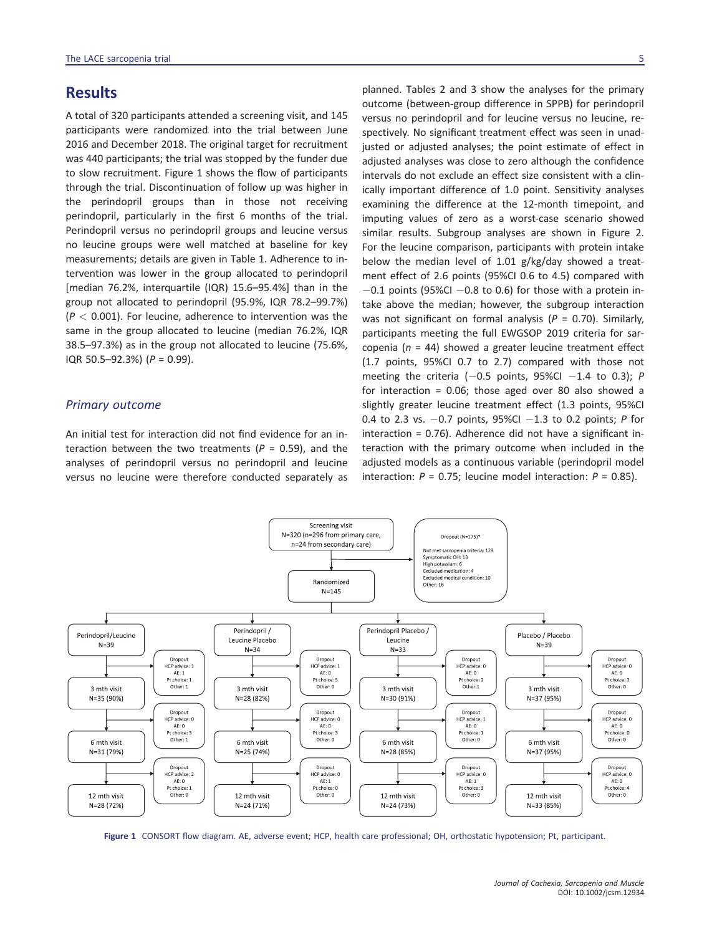### **Results**

A total of 320 participants attended a screening visit, and 145 participants were randomized into the trial between June 2016 and December 2018. The original target for recruitment was 440 participants; the trial was stopped by the funder due to slow recruitment. Figure 1 shows the flow of participants through the trial. Discontinuation of follow up was higher in the perindopril groups than in those not receiving perindopril, particularly in the first 6 months of the trial. Perindopril versus no perindopril groups and leucine versus no leucine groups were well matched at baseline for key measurements; details are given in Table 1. Adherence to intervention was lower in the group allocated to perindopril [median 76.2%, interquartile (IQR) 15.6–95.4%] than in the group not allocated to perindopril (95.9%, IQR 78.2–99.7%) (*P <* 0.001). For leucine, adherence to intervention was the same in the group allocated to leucine (median 76.2%, IQR 38.5–97.3%) as in the group not allocated to leucine (75.6%, IQR 50.5–92.3%) (*P* = 0.99).

#### *Primary outcome*

An initial test for interaction did not find evidence for an interaction between the two treatments ( $P = 0.59$ ), and the analyses of perindopril versus no perindopril and leucine versus no leucine were therefore conducted separately as

planned. Tables 2 and 3 show the analyses for the primary outcome (between-group difference in SPPB) for perindopril versus no perindopril and for leucine versus no leucine, respectively. No significant treatment effect was seen in unadjusted or adjusted analyses; the point estimate of effect in adjusted analyses was close to zero although the confidence intervals do not exclude an effect size consistent with a clinically important difference of 1.0 point. Sensitivity analyses examining the difference at the 12-month timepoint, and imputing values of zero as a worst-case scenario showed similar results. Subgroup analyses are shown in Figure 2. For the leucine comparison, participants with protein intake below the median level of 1.01 g/kg/day showed a treatment effect of 2.6 points (95%CI 0.6 to 4.5) compared with  $-0.1$  points (95%CI  $-0.8$  to 0.6) for those with a protein intake above the median; however, the subgroup interaction was not significant on formal analysis (*P* = 0.70). Similarly, participants meeting the full EWGSOP 2019 criteria for sarcopenia (*n* = 44) showed a greater leucine treatment effect (1.7 points, 95%CI 0.7 to 2.7) compared with those not meeting the criteria  $(-0.5 \text{ points}, 95\% \text{Cl} - 1.4 \text{ to } 0.3);$  *P* for interaction = 0.06; those aged over 80 also showed a slightly greater leucine treatment effect (1.3 points, 95%CI 0.4 to 2.3 vs. -0.7 points, 95%CI -1.3 to 0.2 points; *P* for interaction = 0.76). Adherence did not have a significant interaction with the primary outcome when included in the adjusted models as a continuous variable (perindopril model interaction:  $P = 0.75$ ; leucine model interaction:  $P = 0.85$ ).



**Figure 1** CONSORT flow diagram. AE, adverse event; HCP, health care professional; OH, orthostatic hypotension; Pt, participant.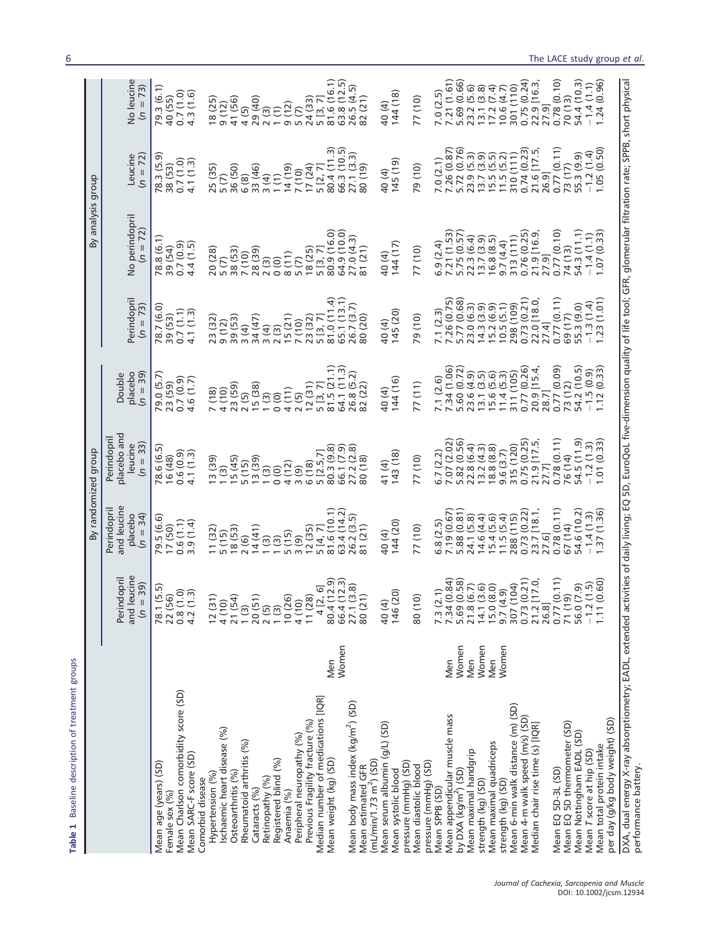|                                                                                                                                                                                                                     |              |                                                                                                                                                                                         | By randomized group                                                                                                                            |                                                                        |                                                                                                 |                                                                        | By analysis group                                                                                            |                                                                                    |                                                         |
|---------------------------------------------------------------------------------------------------------------------------------------------------------------------------------------------------------------------|--------------|-----------------------------------------------------------------------------------------------------------------------------------------------------------------------------------------|------------------------------------------------------------------------------------------------------------------------------------------------|------------------------------------------------------------------------|-------------------------------------------------------------------------------------------------|------------------------------------------------------------------------|--------------------------------------------------------------------------------------------------------------|------------------------------------------------------------------------------------|---------------------------------------------------------|
|                                                                                                                                                                                                                     |              | and leucine<br>Perindopri<br>$1 = 39$<br>$\epsilon$                                                                                                                                     | and leucine<br>Perindopri<br>placebo<br>34)<br>$\overline{a}$                                                                                  | placebo and<br>Perindopri<br>$(n = 33)$<br>leucine                     | placebo<br>$(n = 39)$<br>Double                                                                 | Perindopril<br>$\overline{a}$                                          | No perindopril                                                                                               | Leucine<br>$(n = 72)$                                                              | do leucine<br>$\mathcal{E}$                             |
| Mean Charlson comorbidity score (SD)<br>Mean SARC-F score (SD)<br>Mean age (years) (SD)<br>Female sex (%)                                                                                                           |              | 78.1 (5.5)<br>ີດ<br>ເອີກ<br>ເອີ<br>22 (56)<br>0.30                                                                                                                                      | 79.5 (6.6)<br>$0.6(1.1)$<br>3.9 $(1.4)$<br>17 (50)                                                                                             | 78.6 (6.5)<br>$0.6(0.9)$<br>4.1(1.3)<br>16 (48)                        | 79.0 (5.7<br>$0.7(0.9)$<br>4.6(1.7)<br>23 (59)                                                  | 78.7 (6.0<br>$0.7(1.1)$<br>4.1(1.3)<br>39 (53)                         | 78.8 (6.1)<br>0.7(0.9)<br>4.4(1.5)<br>39 (54)                                                                | 78.3 (5.9<br>$0.7(1.0)$<br>4.1(1.3)<br>38 (53)                                     | 79.3 (6.1)<br>$0.7(1.0)$<br>4.3(1.6)<br>40 (55)         |
| schaemic heart disease (%)<br>Rheumatoid arthritis (%)<br>Osteoarthritis (%)<br>Hypertension (%)<br>Comorbid disease                                                                                                |              | $\overline{54}$<br>(31)<br>$\frac{1}{\tau}$<br>$\overline{c}$<br>$\frac{4}{\sqrt{2}}$<br>$\overline{2}1$                                                                                | $\frac{2}{14}$ (6)<br>14 (41)<br>11(32)<br>18(53)<br>5(15)                                                                                     | 15(45)<br>$\begin{array}{c} 13(39) \\ 1(3) \end{array}$<br>5(15)       | 23 (59)<br>$7(18)$<br>$4(10)$<br>2(5)                                                           | 39 (53)<br>$3(4)$<br>$34(47)$<br>23 (32)<br>9(12)                      | 38 (53)<br>7 (10)<br>28 (39)<br>20 (28)<br>5(7)                                                              | 36 (50)<br>25 (35)<br>5(7)<br>6 (8)                                                | 18 (25)<br>41 (56)<br>9(12)<br>4(5)                     |
| Registered blind (%)<br>Retinopathy (%)<br>Cataracts (%)<br>Anaemia (%)                                                                                                                                             |              | 20(51)<br>$2(5)$<br>$1(3)$<br>$10(26)$                                                                                                                                                  | 5(15)<br>(3)<br>(3)                                                                                                                            | 13(39)<br>4(12)<br>(3)<br>0(0)                                         | 15(38)<br>4(11)<br>0(0)<br>(3)                                                                  | $\begin{array}{c} 3 \ (4) \\ 2 \ (3) \\ 15 \ (21) \end{array}$         | 8(11)<br>2(3)<br>$\circ$                                                                                     | 33 (46)<br>$(61)$ $\mu$ 1<br>1(1)<br>3(4)                                          | 29 (40)<br>$\begin{matrix} 2 & 3 \\ 1 & 1 \end{matrix}$ |
| Median number of medications [IQR]<br>Previous Fragility fracture (%)<br>Peripheral neuropathy (%)                                                                                                                  |              | (28)<br>(26)<br>$\frac{1}{4}$<br>$\overline{1}$                                                                                                                                         | 12(35)<br>3(9)                                                                                                                                 | 5 [2.5.7]<br>6(18)<br>3(9)                                             | 12(31)<br>2(5)                                                                                  | $7(10)$<br>$23(32)$                                                    | 18(25)<br>$\overline{5}$ $\overline{(7)}$                                                                    | $7(10)$<br>17(24)<br>5[2, 7]                                                       | 24 (33)<br>$\frac{9(12)}{5(7)}$                         |
| Mean weight (kg) (SD)                                                                                                                                                                                               | Women<br>Men | $4$ [2, 6]<br>80.4 (12.9)<br>66.4 (12.3)                                                                                                                                                | $5 [4, 7]$<br>81.6 (10.1)                                                                                                                      | 66.1 (7.9<br>80.3(9.8                                                  | 5 [3, 7]<br>81.5 (21.1)<br>64.1 (11.3)                                                          | 81.0 (11.4<br>65.1 (13.1)<br>26.7 (3.7)                                |                                                                                                              | $\begin{array}{c} 80.4 (11.3) \\ 66.3 (10.5) \\ 27.1 (3.3) \\ 80 (19) \end{array}$ | 5 [3, 7]<br>81.6 (16.1)<br>63.8 (12.5)                  |
| Mean body mass index (kg/m <sup>2</sup> ) (SD)<br>Mean estimated GFR<br>(mL/min/1 .73 m <sup>2</sup> ) (SD)                                                                                                         |              | $(1(3.8)$<br>(21)<br>27.<br>80                                                                                                                                                          | 26.2 (3.5)                                                                                                                                     | 27.2 (2.8)<br>30(18)                                                   | 82 (22)                                                                                         | 80 (20)                                                                | 27.0(4.3)                                                                                                    |                                                                                    | 26.5 (4.5)                                              |
| Mean serum albumin (g/L) (SD)<br>pressure (mmHg) (SD)<br>Mean systolic blood                                                                                                                                        |              | 40(4)<br>146(20)                                                                                                                                                                        | 144(20)<br>40 (4)                                                                                                                              | 143(18)<br>41 (4)                                                      | 144 (16)<br>40 (4)                                                                              | 145 (20)<br>40(4)                                                      | 144 (17)<br>40 (4)                                                                                           | $(61)$ $541$<br>40 (4)                                                             | 144(18)<br>40 (4)                                       |
| pressure (mmHg) (SD)<br>Mean diastolic blood                                                                                                                                                                        |              | (10)<br>80                                                                                                                                                                              | 77 (10)                                                                                                                                        | 77 (10)                                                                | 77(11)                                                                                          | 79(10)                                                                 | 77 (10)                                                                                                      | 79 (10)                                                                            | 77 (10)                                                 |
| Mean appendicular muscle mass<br>Mean SPPB (SD)                                                                                                                                                                     | Men          |                                                                                                                                                                                         | 5.8(2.5)                                                                                                                                       | 7.07 (2.02)<br>5.82 (0.56)<br>5.7(2.2)                                 | 7 34 (1.06)<br>5.60 (0.72)<br>7.1(2.6)                                                          | 7 1 (2.3)<br>7 26 (0.75)<br>5 77 (0.68)                                | $\begin{array}{c} 6.9 \ (2.4) \\ 7.21 \ (1.53) \\ 5.75 \ (0.57) \\ 22.3 \ (6.4) \\ 13.7 \ (3.9) \end{array}$ | 7.0 (2.1)<br>7.26 (0.87)<br>5.72 (0.76)<br>5.72 (9.59)<br>13.7 (5.5)<br>11.5 (5.2) | 7.0 (2.5)<br>7.21 (1.61)<br>5.69 (0.66)                 |
| Mean maximal handgrip<br>by DXA (kg/m <sup>2</sup> ) (SD)                                                                                                                                                           | Women<br>Men |                                                                                                                                                                                         | $\begin{array}{l} 7.19\ (0.67)\\ 5.88\ (0.81)\\ 5.41\ (5.8)\\ 24.1\ (5.4)\\ 14.6\ (4.4)\\ 15.4\ (5.6)\\ 11.5\ (5.4)\\ 288\ (1115) \end{array}$ | 22.8 (6.4)                                                             |                                                                                                 | 23.0 (6.3)                                                             |                                                                                                              |                                                                                    | 23.2 (5.6)                                              |
| Mean maximal quadriceps<br>strength (kg) (SD)                                                                                                                                                                       | Women<br>Men |                                                                                                                                                                                         |                                                                                                                                                | $13.2(4.3)$<br>$18.8(8.8)$                                             |                                                                                                 | $14.3$ (3.9)<br>15.2 (6.9)<br>10.5 (5.1)                               | 16.8(8.5)                                                                                                    |                                                                                    | $13.1$ $(3.8)$<br>$17.2$ $(7.4)$<br>$10.6$ $(4.7)$      |
| Mean 6-min walk distance (m) (SD)<br>strength (kg) (SD)                                                                                                                                                             | Women        |                                                                                                                                                                                         |                                                                                                                                                | 315 (120)<br>9.6(3.7)                                                  |                                                                                                 | 298 (109)                                                              | 313(111)<br>9.7(4.4)                                                                                         | 310(111)                                                                           | 301(110)                                                |
| Mean 4-m walk speed (m/s) (SD)<br>Median chair rise time (s) [IQR]                                                                                                                                                  |              | $\begin{array}{l} 7.3\ (2.1)\\ 7.34\ (0.84)\\ 7.34\ (0.94)\\ 5.69\ (0.58)\\ 21.8\ (6.7)\\ 14.1\ (3.6)\\ 9.50\ (8.9)\\ 9.73\ (0.21)\\ 30.7\ (0.21)\\ 20.73\ (0.21)\\ 26.81\ \end{array}$ | $0.73(0.22)$<br>$23.7[18.1]$                                                                                                                   | $\begin{array}{c} 0.75 \ (0.25) \\ 21.9 \ [17.5, \\ 27.7] \end{array}$ | 23.6 (4.9)<br>13.1 (3.5)<br>13.1 (5.5)<br>14.4 (5.6)<br>311 (105)<br>20.9 [15.4,<br>20.9 [15.4, | $\begin{array}{l} 0.73 \ (0.21) \\ 22.0 \ [18.0] \\ 27.4] \end{array}$ | 0.76 (0.25)<br>21.9 [16.9,<br>27.9]                                                                          | $\begin{array}{l} 0.74 \,(0.23) \\ 21.6 \,[17.5, \\ 26.9] \end{array}$             | $0.75(0.24)$<br>$22.9[16.3]$                            |
| Mean EQ 5D-3L (SD)<br>Mean EQ 5D thermometer (SD)                                                                                                                                                                   |              | 0.77(0.11)                                                                                                                                                                              | 0.78(0.11)<br>27.6]                                                                                                                            | 0.78 (0.11)                                                            | 0.77 (0.09)<br>28.7]                                                                            | 0.77(0.11)                                                             | 0.77 (0.10)                                                                                                  | 0.77(0.11)                                                                         | 0.78(0.10)<br>27.9]                                     |
| Mean Nottingham EADL (SD)                                                                                                                                                                                           |              | 56.0 (7.9)<br>(19)<br>$\overline{71}$                                                                                                                                                   | 54.6 (10.2)<br>67 (14)                                                                                                                         | 54.5 (11.9)<br>76 (14)                                                 | 54.2 (10.5)<br>73 (12)                                                                          | $69(17)$<br>55.3 (9.0)<br>-1.3 (1.4)                                   | $74(13)$<br>54.3 $(11.1)$                                                                                    | $73(17)$<br>55.3 (9.9)<br>-1.2 (1.4)                                               | 54.4 (10.3)<br>70 (13)                                  |
| per day (g/kg body weight) (SD)<br>Mean total protein intake<br>Mean T score at hip (SD)                                                                                                                            |              | $\frac{2(1.5)}{11(0.60)}$<br>1.1<br>$\overline{1}$                                                                                                                                      | 1.37 (1.36<br>$-1.4(1.3)$                                                                                                                      | $-1.2(1.3)$<br>1.01                                                    | (0.33)<br>$-1.5(0.9)$                                                                           | .23(1.01                                                               | 1.07(0.33)<br>$-1.4(1.1)$                                                                                    | .05(0.50)                                                                          | (0.96)<br>$-1.4(1.1)$<br>1.24                           |
| DXA, dual energy X-ray absorptiometry; EADL, extended activities of daily living; EQ 5D, EuroQoL five-dimension quality of life tool; GFR, glomerular filtration rate; SPPB, short physical<br>performance battery. |              |                                                                                                                                                                                         |                                                                                                                                                |                                                                        |                                                                                                 |                                                                        |                                                                                                              |                                                                                    |                                                         |

**Table 1** Baseline description of treatment groups

Table 1 Baseline description of treatment groups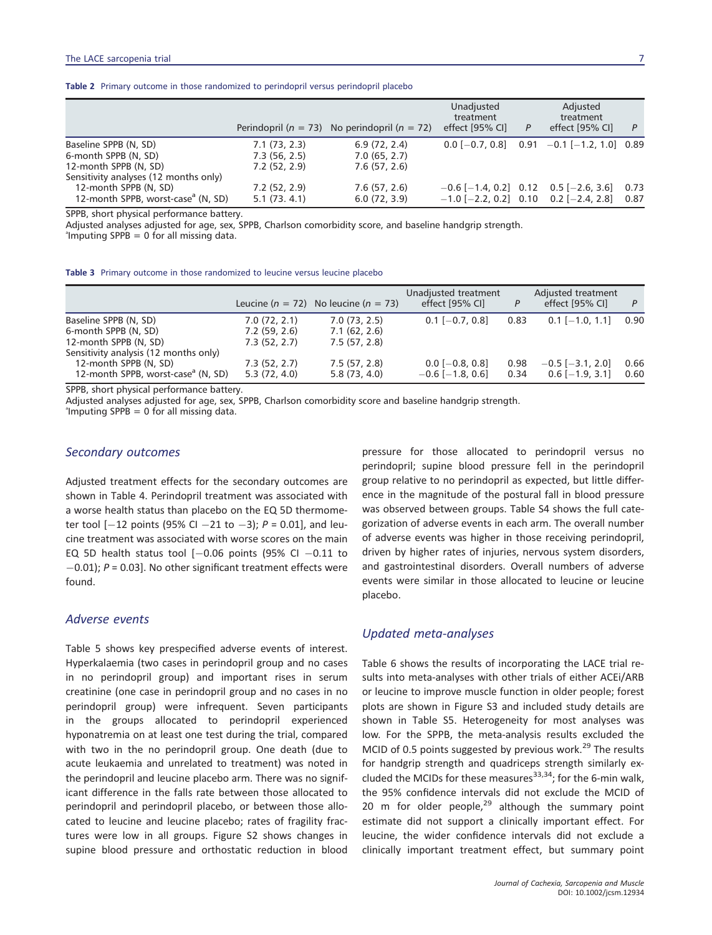|  | <b>Table 2</b> Primary outcome in those randomized to perindopril versus perindopril placebo |
|--|----------------------------------------------------------------------------------------------|
|--|----------------------------------------------------------------------------------------------|

|                                                |              | Perindopril ( $n = 73$ ) No perindopril ( $n = 72$ ) | Unadjusted<br>treatment<br>effect [95% CI] | P | Adjusted<br>treatment<br>effect [95% CI]       | P    |
|------------------------------------------------|--------------|------------------------------------------------------|--------------------------------------------|---|------------------------------------------------|------|
| Baseline SPPB (N, SD)                          | 7.1(73, 2.3) | 6.9(72, 2.4)                                         |                                            |   | $0.0$ [-0.7, 0.8] $0.91$ -0.1 [-1.2, 1.0] 0.89 |      |
| 6-month SPPB (N, SD)                           | 7.3(56, 2.5) | 7.0(65, 2.7)                                         |                                            |   |                                                |      |
| 12-month SPPB (N, SD)                          | 7.2(52, 2.9) | 7.6(57, 2.6)                                         |                                            |   |                                                |      |
| Sensitivity analyses (12 months only)          |              |                                                      |                                            |   |                                                |      |
| 12-month SPPB (N, SD)                          | 7.2(52, 2.9) | 7.6(57, 2.6)                                         | $-0.6$ [-1.4, 0.2] 0.12 0.5 [-2.6, 3.6]    |   |                                                | 0.73 |
| 12-month SPPB, worst-case <sup>a</sup> (N, SD) | 5.1(73.4.1)  | 6.0(72, 3.9)                                         | $-1.0$ [-2.2, 0.2] 0.10 0.2 [-2.4, 2.8]    |   |                                                | 0.87 |

SPPB, short physical performance battery.

Adjusted analyses adjusted for age, sex, SPPB, Charlson comorbidity score, and baseline handgrip strength.

<sup>a</sup>lmputing SPPB = 0 for all missing data.

|  |  |  |  |  | <b>Table 3</b> Primary outcome in those randomized to leucine versus leucine placebo |  |  |  |  |  |  |
|--|--|--|--|--|--------------------------------------------------------------------------------------|--|--|--|--|--|--|
|--|--|--|--|--|--------------------------------------------------------------------------------------|--|--|--|--|--|--|

|                                                |              | Leucine ( $n = 72$ ) No leucine ( $n = 73$ ) | Unadjusted treatment<br>effect [95% CI] | P    | Adjusted treatment<br>effect [95% CI] | P    |
|------------------------------------------------|--------------|----------------------------------------------|-----------------------------------------|------|---------------------------------------|------|
| Baseline SPPB (N, SD)                          | 7.0(72, 2.1) | 7.0(73, 2.5)                                 | $0.1$ [-0.7, 0.8]                       | 0.83 | $0.1$ [-1.0, 1.1]                     | 0.90 |
| 6-month SPPB (N, SD)                           | 7.2(59, 2.6) | 7.1(62, 2.6)                                 |                                         |      |                                       |      |
| 12-month SPPB (N, SD)                          | 7.3(52, 2.7) | 7.5(57, 2.8)                                 |                                         |      |                                       |      |
| Sensitivity analysis (12 months only)          |              |                                              |                                         |      |                                       |      |
| 12-month SPPB (N, SD)                          | 7.3(52, 2.7) | 7.5(57, 2.8)                                 | $0.0$ [-0.8, 0.8]                       | 0.98 | $-0.5$ [ $-3.1$ , 2.0]                | 0.66 |
| 12-month SPPB, worst-case <sup>a</sup> (N, SD) | 5.3(72, 4.0) | 5.8(73, 4.0)                                 | $-0.6$ [ $-1.8$ , 0.6]                  | 0.34 | $0.6$ [-1.9, 3.1]                     | 0.60 |

SPPB, short physical performance battery.

Adjusted analyses adjusted for age, sex, SPPB, Charlson comorbidity score and baseline handgrip strength.

<sup>a</sup>lmputing SPPB = 0 for all missing data.

#### *Secondary outcomes*

Adjusted treatment effects for the secondary outcomes are shown in Table 4. Perindopril treatment was associated with a worse health status than placebo on the EQ 5D thermometer tool  $[-12$  points (95% CI  $-21$  to  $-3$ );  $P = 0.01$ ], and leucine treatment was associated with worse scores on the main EQ 5D health status tool  $[-0.06$  points (95% CI  $-0.11$  to  $-0.01$ ;  $P = 0.03$ ]. No other significant treatment effects were found.

#### *Adverse events*

Table 5 shows key prespecified adverse events of interest. Hyperkalaemia (two cases in perindopril group and no cases in no perindopril group) and important rises in serum creatinine (one case in perindopril group and no cases in no perindopril group) were infrequent. Seven participants in the groups allocated to perindopril experienced hyponatremia on at least one test during the trial, compared with two in the no perindopril group. One death (due to acute leukaemia and unrelated to treatment) was noted in the perindopril and leucine placebo arm. There was no significant difference in the falls rate between those allocated to perindopril and perindopril placebo, or between those allocated to leucine and leucine placebo; rates of fragility fractures were low in all groups. Figure S2 shows changes in supine blood pressure and orthostatic reduction in blood

pressure for those allocated to perindopril versus no perindopril; supine blood pressure fell in the perindopril group relative to no perindopril as expected, but little difference in the magnitude of the postural fall in blood pressure was observed between groups. Table S4 shows the full categorization of adverse events in each arm. The overall number of adverse events was higher in those receiving perindopril, driven by higher rates of injuries, nervous system disorders, and gastrointestinal disorders. Overall numbers of adverse events were similar in those allocated to leucine or leucine placebo.

#### *Updated meta-analyses*

Table 6 shows the results of incorporating the LACE trial results into meta-analyses with other trials of either ACEi/ARB or leucine to improve muscle function in older people; forest plots are shown in Figure S3 and included study details are shown in Table S5. Heterogeneity for most analyses was low. For the SPPB, the meta-analysis results excluded the MCID of 0.5 points suggested by previous work.<sup>29</sup> The results for handgrip strength and quadriceps strength similarly excluded the MCIDs for these measures  $33,34$ ; for the 6-min walk, the 95% confidence intervals did not exclude the MCID of 20 m for older people, $29$  although the summary point estimate did not support a clinically important effect. For leucine, the wider confidence intervals did not exclude a clinically important treatment effect, but summary point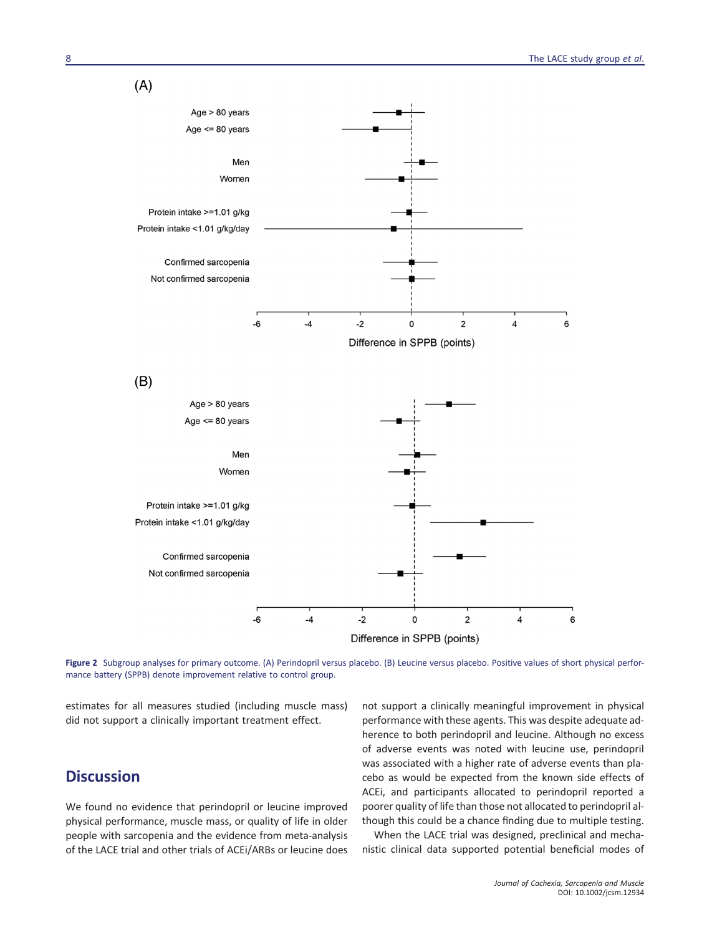$(A)$ 



Figure 2 Subgroup analyses for primary outcome. (A) Perindopril versus placebo. (B) Leucine versus placebo. Positive values of short physical performance battery (SPPB) denote improvement relative to control group.

estimates for all measures studied (including muscle mass) did not support a clinically important treatment effect.

## **Discussion**

We found no evidence that perindopril or leucine improved physical performance, muscle mass, or quality of life in older people with sarcopenia and the evidence from meta-analysis of the LACE trial and other trials of ACEi/ARBs or leucine does not support a clinically meaningful improvement in physical performance with these agents. This was despite adequate adherence to both perindopril and leucine. Although no excess of adverse events was noted with leucine use, perindopril was associated with a higher rate of adverse events than placebo as would be expected from the known side effects of ACEi, and participants allocated to perindopril reported a poorer quality of life than those not allocated to perindopril although this could be a chance finding due to multiple testing.

When the LACE trial was designed, preclinical and mechanistic clinical data supported potential beneficial modes of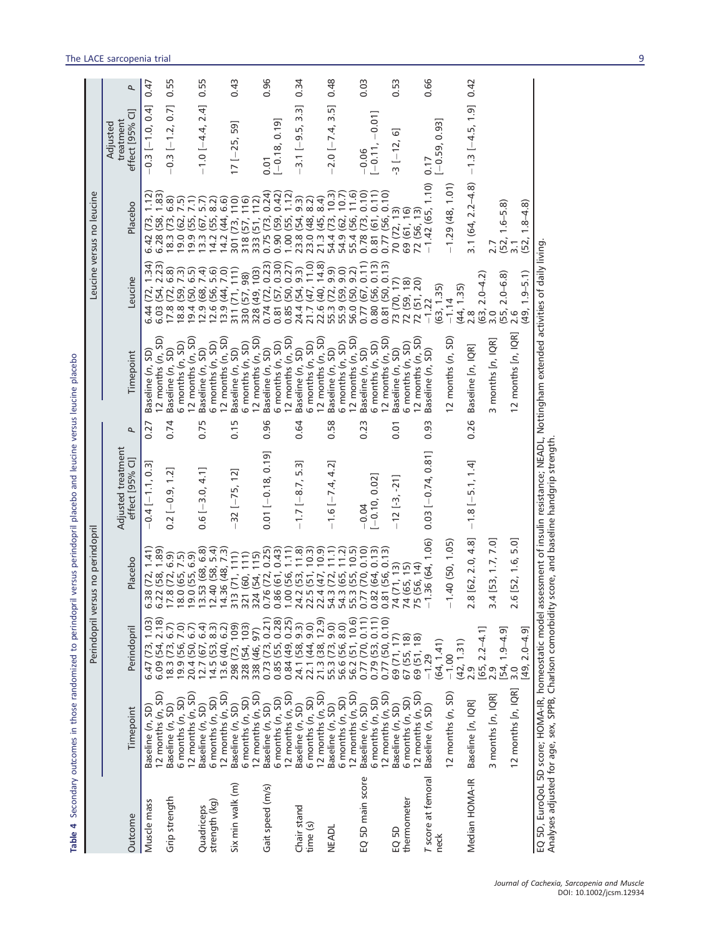|                             |                                                                                        | Perindopril                                                                                               | versus no perindopril                                                                   |                                           |                                                                                                                                             |                                                                                | Leucine versus no leucine                                                                           |                                          |      |
|-----------------------------|----------------------------------------------------------------------------------------|-----------------------------------------------------------------------------------------------------------|-----------------------------------------------------------------------------------------|-------------------------------------------|---------------------------------------------------------------------------------------------------------------------------------------------|--------------------------------------------------------------------------------|-----------------------------------------------------------------------------------------------------|------------------------------------------|------|
| Outcome                     | Timepoint                                                                              | Perindopril                                                                                               | Placebo                                                                                 | Adjusted treatment<br>effect [95% Cl]     | Timepoint<br>P                                                                                                                              | Leucine                                                                        | Placebo                                                                                             | effect [95% CI]<br>treatment<br>Adjusted | P    |
| Muscle mass                 | 12 months $(n, SD)$<br>Baseline (n, SD)                                                | 6.09(54, 2.18)<br>1.03<br>6.47 (73,                                                                       | 6.38(72, 1.41)<br>6.22 (58, 1.89)                                                       | $-0.4[-1.1, 0.3]$                         | $12$ months $(n, SD)$<br>Baseline (n, SD)<br>0.27                                                                                           | 1.34<br>2.23<br>6.03 (54,<br>6.44 (72,                                         | (73, 1.12)<br>(58, 1.83)<br>6.28(<br>6.42                                                           | $-0.3[-1.0, 0.4]$                        | 0.47 |
| Grip strength               | 6 months (n, SD)<br>Baseline (n, SD)                                                   | 19.9(56, 7.0)<br>(73, 6.7)<br>18.3(                                                                       | $\begin{array}{c} 17.8 \ (72, 6.9) \\ 18.0 \ (65, 7.5) \\ 19.0 \ (55, 6.9) \end{array}$ | $0.2[-0.9, 1.2]$                          | 12 months $(n, SD)$<br>5 months (n, SD)<br>Baseline (n, SD)<br>0.74                                                                         | 6.8)<br>6.5)<br>7.3)<br>17.8 (72,<br>18.8 (59,<br>19.4(50,                     | 6.8<br>7.5)<br>(62, 7)<br>(73,<br>19.9<br>18.3<br>19.0                                              | $-0.3$ $[-1.2, 0.7]$                     | 0.55 |
| strength (kg)<br>Quadriceps | $12$ months $(n, SD)$<br>12 months (n, SD)<br>$6$ months $(n, SD)$<br>Baseline (n, SD) | $\begin{array}{c} 12.7 \ (67, 6.4) \\ 14.5 \ (53, 8.3) \\ 13.6 \ (40, 6.2) \end{array}$<br>20.4 (50, 6.7) | 13.53 (68, 6.8)<br>5.4<br>14.36 (48, 7.3)<br>12.40 (58,                                 | $0.6[-3.0, 4.1]$                          | 12 months (n, SD)<br>6 months (n, SD)<br>Baseline (n, SD)<br>0.75                                                                           | 7.0)<br>7.4)<br>5.6<br>12.9(68,<br>13.9 (44,<br>12.6(56,                       | 14.2(44, 6.6)<br>(55, 7.1)<br>13.3(67, 5.7)<br>14.2(55, 8.2)                                        | $-1.0[-4.4, 2.4]$                        | 0.55 |
| Six min walk (m)            | 12 months (n, SD)<br>$6$ months $(n, SD)$<br>Baseline (n, SD)                          | 298 (73, 109)<br>328 (54, 103)<br>338 (46, 97)                                                            | 321 (60, 111)<br>324 (54, 115)<br>313(71, 111)                                          | $-32[-75, 12]$                            | 12 months (n, SD)<br>6 months (n, SD)<br>Baseline (n, SD)<br>0.15                                                                           | 311(71, 111)<br>328 (49, 103)<br>330 (57, 98)                                  | 301 (73, 110)<br>318 (57, 116)<br>333 (51, 112)                                                     | $17[-25, 59]$                            | 0.43 |
| Gait speed (m/s)            | 12 months (n, SD)<br>6 months (n, SD)<br>Baseline (n, SD)                              | 0.84(49, 0.25)<br>$0.73(73, 0.21)$<br>$0.85(55, 0.28)$                                                    | 0.76(72, 0.25)<br>1.00(56, 1.11)<br>0.86 (61, 0.43)                                     | $0.01[-0.18, 0.19]$                       | 12 months (n, SD)<br>6 months (n, SD)<br>Baseline (n, SD)<br>0.96                                                                           | 0.74(72, 0.23)<br>0.30)<br>0.85(50, 0.27)<br>0.81(57,                          | 0.75(73, 0.24)<br>1.00(55, 1.12)<br>0.90(59, 0.42)                                                  | $[-0.18, 0.19]$<br>0.01                  | 0.96 |
| Chair stand<br>time(s)      | 6 months (n, SD)<br>Baseline (n, SD)                                                   | (38, 12.9)<br>22.1 (44, 9.0)<br>24.1 (58, 9.3)<br>21.3(                                                   | 22.5 (51, 10.3)<br>22.4 (47, 10.9)<br>54.3 (72, 11.1)<br>24.2 (53, 11.8)                | $-1.7[-8.7, 5.3]$                         | 12 months (n, SD)<br>6 months (n, SD)<br>Baseline (n, SD)<br>0.64                                                                           | 21.7 (47, 11.0)<br>22.6 (40, 14.8)<br>55.3 (72, 9.9)<br>24.4 (54, 9.3)         | $(48, 8.2)$<br>$(45, 8.4)$<br>$(73, 10.3)$<br>$23.8(54, 9.3)$<br>$23.0(48, 8.2)$<br>$21.3(45, 8.4)$ | $-3.1[-9.5, 3.3]$                        | 0.34 |
| <b>NEADL</b>                | 12 months (n, SD)<br>Baseline (n, SD)<br>12 months (n, SD)<br>6 months (n, SD)         | 56.2 (51, 10.6)<br>56.6 (56, 8.0)<br>(73, 9.0)<br>55.3                                                    | 54.3 (65, 11.2)<br>55.3 (55, 10.5)                                                      | $-1.6[-7.4, 4.2]$                         | 6 months (n, SD)<br>Baseline (n, SD)<br>0.58                                                                                                | 9.0)<br>56.0 (50, 9.2)<br>55.9 (59,                                            | 54.9 (62, 10.7)<br>55.4 (56, 11.6)<br>54.4                                                          | $-2.0[-7.4, 3.5]$                        | 0.48 |
| EQ 5D main score            | 12 months (n, SD)<br>6 months (n, SD)<br>Baseline (n, SD)                              | 0.77(70, 0.11)<br>0.77(50, 0.10)<br>0.11)<br>0.79(53,                                                     | 0.77 (70, 0.10)<br>0.82(64, 0.13)<br>0.81 (56, 0.13)                                    | $[-0.10, 0.02]$<br>$-0.04$                | 12 months (n, SD)<br>12 months (n, SD)<br>6 months (n, SD)<br>Baseline (n, SD)<br>0.23                                                      | 0.77(67, 0.11)<br>$0.80(56, 0.13)$<br>$0.81(50, 0.13)$                         | 0.78(73, 0.10)<br>0.81(61, 0.11)<br>0.77(56, 0.10)                                                  | $[-0.11, -0.01]$<br>$-0.06$              | 0.03 |
| thermometer<br>EQ 5D        | 12 months (n, SD)<br>$6$ months $(n, SD)$<br>Baseline (n, SD)                          | 67 (55, 18)<br>69 (71, 17)<br>69 (51, 18)                                                                 | 74 (71, 13)<br>74 (65, 15)<br>75 (56, 14)                                               | $-12$ [-3, -21]                           | 12 months (n, SD)<br>6 months (n, SD)<br>Baseline (n, SD)<br>0.01                                                                           | 73 (70, 17)<br>72 (51, 20)<br>72 (59, 18)                                      | 70 (72, 13)<br>69 (61, 16)<br>72 (56, 13)                                                           | $-3[-12, 6]$                             | 0.53 |
| T score at femoral<br>neck  | 12 months (n, SD)<br>Baseline (n, SD)                                                  | (64, 1.41)<br>(42, 1.31)<br>$-1.29$<br>$-1.00$                                                            | $-1.36(64, 1.06)$<br>$-1.40(50, 1.05)$                                                  | $0.03[-0.74, 0.81]$                       | 2 months (n, SD)<br>Baseline (n, SD)<br>0.93                                                                                                | (63, 1.35)<br>(44, 1.35)<br>$-1.22$<br>$-1.14$                                 | 1.10)<br>$-1.29(48, 1.01)$<br>$-1.42(65, 1)$                                                        | $[-0.59, 0.93]$<br>0.17                  | 0.66 |
| Median HOMA-IR              | 12 months [n, IQR]<br>3 months [n, IQR]<br>Baseline [n, IQR]                           | $[65, 2.2 - 4.1]$<br>$[54, 1.9 - 4.9]$<br>$49, 2.0 - 4.9$<br>2.9<br>$\overline{3.0}$                      | 2.8 [62, 2.0, 4.8]<br>$3.4$ [53, 1.7, 7.0]<br>2.6 [52, 1.6, 5.0]                        | $-1.8[-5.1, 1.4]$                         | 12 months [n, IQR]<br>3 months [n, IQR]<br>Baseline [n, IQR]<br>0.26                                                                        | $2.0 - 4.2$<br>$2.0 - 6.8$<br>(63, 1)<br>(55, 2, 6)<br>$\overline{3.0}$<br>2.8 | $3.1(64, 2.2 - 4.8)$<br>$(52, 1.6 - 5.8)$                                                           | $-1.3[-4.5, 1.9]$                        | 0.42 |
|                             | Analyses adjusted for age, sex, SPPB, Charlson comorbid                                |                                                                                                           |                                                                                         | ity score, and baseline handgrip strength | EQ 5D, EuroQoL 5D score; HOMA-IR, homeostatic model assessment of insulin resistance; NEADL, Nottingham extended activities of daily living | $1.9 - 5.1$<br>(49)                                                            | $(52, 1.8 - 4.8)$                                                                                   |                                          |      |

Table 4 Secondary outcomes in those randomized to perindopril versus perindopril placebo and leucine versus leucine placebo **Table 4** Secondary outcomes in those randomized to perindopril versus perindopril placebo and leucine versus leucine placebo

Analyses adjusted for age, sex, SPPB, Charlson comorbidity score, and baseline handgrip strength. *Journal of Cachexia, Sarcopenia and Muscle* DOI: 10.1002/jcsm.12934

#### The LACE sarcopenia trial 9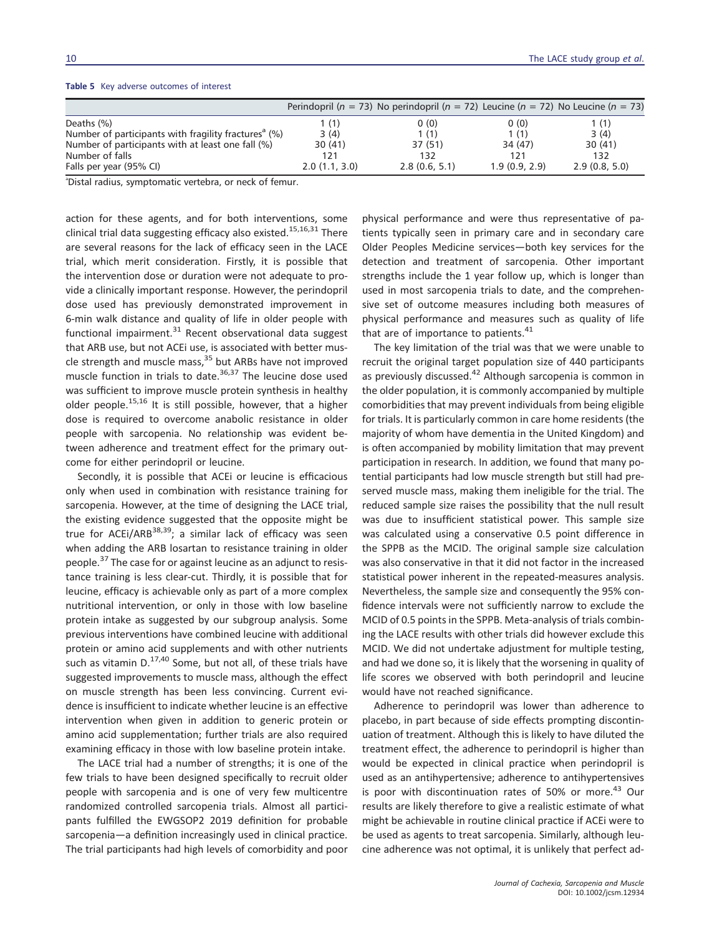|                                                                  |               | Perindopril ( $n = 73$ ) No perindopril ( $n = 72$ ) Leucine ( $n = 72$ ) No Leucine ( $n = 73$ ) |               |               |
|------------------------------------------------------------------|---------------|---------------------------------------------------------------------------------------------------|---------------|---------------|
| Deaths (%)                                                       | 1 (1)         | 0(0)                                                                                              | 0(0)          | 1 (1)         |
| Number of participants with fragility fractures <sup>a</sup> (%) | 3(4)          | 1(1)                                                                                              | 1(1)          | 3(4)          |
| Number of participants with at least one fall (%)                | 30(41)        | 37(51)                                                                                            | 34 (47)       | 30(41)        |
| Number of falls                                                  | 121           | 132                                                                                               | 121           | 132           |
| Falls per year (95% CI)                                          | 2.0(1.1, 3.0) | 2.8(0.6, 5.1)                                                                                     | 1.9(0.9, 2.9) | 2.9(0.8, 5.0) |

#### **Table 5** Key adverse outcomes of interest

a Distal radius, symptomatic vertebra, or neck of femur.

action for these agents, and for both interventions, some clinical trial data suggesting efficacy also existed.<sup>15,16,31</sup> There are several reasons for the lack of efficacy seen in the LACE trial, which merit consideration. Firstly, it is possible that the intervention dose or duration were not adequate to provide a clinically important response. However, the perindopril dose used has previously demonstrated improvement in 6-min walk distance and quality of life in older people with functional impairment. $31$  Recent observational data suggest that ARB use, but not ACEi use, is associated with better muscle strength and muscle mass,<sup>35</sup> but ARBs have not improved muscle function in trials to date.<sup>36,37</sup> The leucine dose used was sufficient to improve muscle protein synthesis in healthy older people.<sup>15,16</sup> It is still possible, however, that a higher dose is required to overcome anabolic resistance in older people with sarcopenia. No relationship was evident between adherence and treatment effect for the primary outcome for either perindopril or leucine.

Secondly, it is possible that ACEi or leucine is efficacious only when used in combination with resistance training for sarcopenia. However, at the time of designing the LACE trial, the existing evidence suggested that the opposite might be true for ACEi/ARB $^{38,39}$ ; a similar lack of efficacy was seen when adding the ARB losartan to resistance training in older people.<sup>37</sup> The case for or against leucine as an adjunct to resistance training is less clear-cut. Thirdly, it is possible that for leucine, efficacy is achievable only as part of a more complex nutritional intervention, or only in those with low baseline protein intake as suggested by our subgroup analysis. Some previous interventions have combined leucine with additional protein or amino acid supplements and with other nutrients such as vitamin  $D^{17,40}$  Some, but not all, of these trials have suggested improvements to muscle mass, although the effect on muscle strength has been less convincing. Current evidence is insufficient to indicate whether leucine is an effective intervention when given in addition to generic protein or amino acid supplementation; further trials are also required examining efficacy in those with low baseline protein intake.

The LACE trial had a number of strengths; it is one of the few trials to have been designed specifically to recruit older people with sarcopenia and is one of very few multicentre randomized controlled sarcopenia trials. Almost all participants fulfilled the EWGSOP2 2019 definition for probable sarcopenia—a definition increasingly used in clinical practice. The trial participants had high levels of comorbidity and poor

physical performance and were thus representative of patients typically seen in primary care and in secondary care Older Peoples Medicine services—both key services for the detection and treatment of sarcopenia. Other important strengths include the 1 year follow up, which is longer than used in most sarcopenia trials to date, and the comprehensive set of outcome measures including both measures of physical performance and measures such as quality of life that are of importance to patients. $41$ 

The key limitation of the trial was that we were unable to recruit the original target population size of 440 participants as previously discussed.<sup>42</sup> Although sarcopenia is common in the older population, it is commonly accompanied by multiple comorbidities that may prevent individuals from being eligible for trials. It is particularly common in care home residents (the majority of whom have dementia in the United Kingdom) and is often accompanied by mobility limitation that may prevent participation in research. In addition, we found that many potential participants had low muscle strength but still had preserved muscle mass, making them ineligible for the trial. The reduced sample size raises the possibility that the null result was due to insufficient statistical power. This sample size was calculated using a conservative 0.5 point difference in the SPPB as the MCID. The original sample size calculation was also conservative in that it did not factor in the increased statistical power inherent in the repeated-measures analysis. Nevertheless, the sample size and consequently the 95% confidence intervals were not sufficiently narrow to exclude the MCID of 0.5 points in the SPPB. Meta-analysis of trials combining the LACE results with other trials did however exclude this MCID. We did not undertake adjustment for multiple testing, and had we done so, it is likely that the worsening in quality of life scores we observed with both perindopril and leucine would have not reached significance.

Adherence to perindopril was lower than adherence to placebo, in part because of side effects prompting discontinuation of treatment. Although this is likely to have diluted the treatment effect, the adherence to perindopril is higher than would be expected in clinical practice when perindopril is used as an antihypertensive; adherence to antihypertensives is poor with discontinuation rates of 50% or more.<sup>43</sup> Our results are likely therefore to give a realistic estimate of what might be achievable in routine clinical practice if ACEi were to be used as agents to treat sarcopenia. Similarly, although leucine adherence was not optimal, it is unlikely that perfect ad-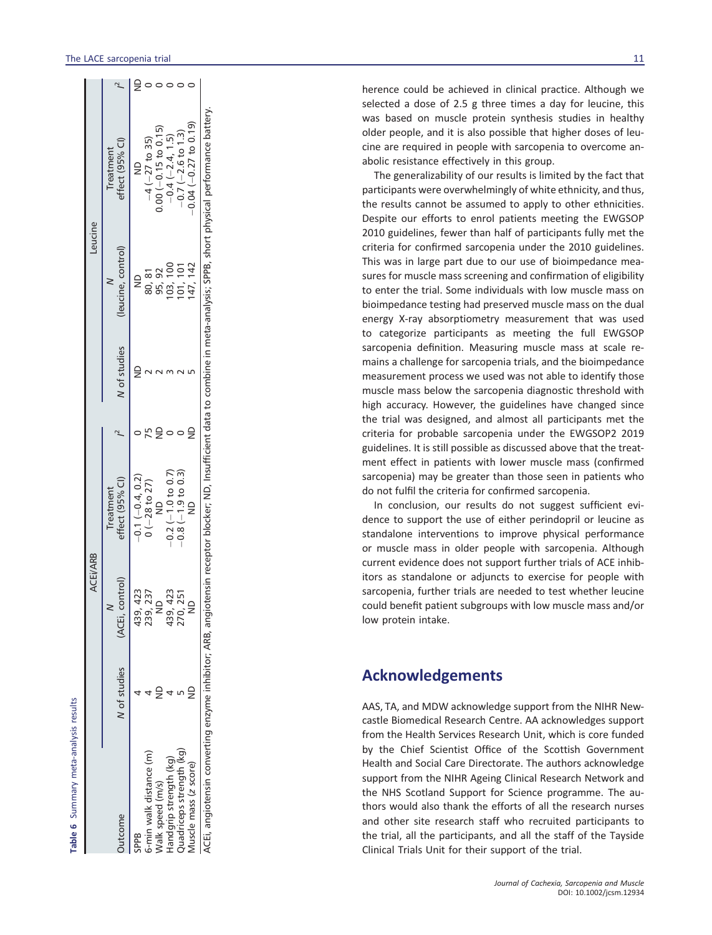|                         |              | <b>ACEI/ARB</b>             |                              |              | Leucine            |                                                                                                                                                                               |  |
|-------------------------|--------------|-----------------------------|------------------------------|--------------|--------------------|-------------------------------------------------------------------------------------------------------------------------------------------------------------------------------|--|
| lutcome                 | N of studies | , control)<br><b>IACEI.</b> | effect (95% CI)<br>Treatment | N of studies | (leucine, control) | effect (95% Cl)<br>Treatment                                                                                                                                                  |  |
|                         |              |                             | $-0.1(-0.4, 0.2)$            |              | Ş                  | $\frac{1}{2}$                                                                                                                                                                 |  |
| min walk distance (m)   |              | 439, 423<br>239, 237        | $0 (-28 to 27)$              |              | 80, 81             | $-4(-27$ to 35)                                                                                                                                                               |  |
| Valk speed (m/s)        |              | $\frac{1}{2}$               | $\frac{1}{2}$                |              | 95, 92             | $0.00 (-0.15 \text{ to } 0.15)$                                                                                                                                               |  |
| landgrip strength (kg)  |              | 439, 423                    | $-0.2$ $(-1.0$ to 0.7)       |              | 103, 100           | $-0.4(-2.4, 1.5)$                                                                                                                                                             |  |
| uadriceps strength (kg) |              | 270, 251                    | $-0.8(-1.9 to 0.3)$          |              | 101, 101           | $-0.7$ ( $-2.6$ to 1.3)                                                                                                                                                       |  |
| Auscle mass (z score)   |              | $\frac{1}{2}$               |                              |              | 147, 142           | $-0.04$ $(-0.27$ to 0.19)                                                                                                                                                     |  |
|                         |              |                             |                              |              |                    | CEi, angiotensin converting enzyme inhibitor; ARB, angiotensin receptor blocker; ND, Insufficient data to combine in meta-analysis; SPPB, short physical performance battery. |  |

**Table 6** Summary meta-analysis results

Summary meta-analysis results

herence could be achieved in clinical practice. Although we selected a dose of 2.5 g three times a day for leucine, this was based on muscle protein synthesis studies in healthy older people, and it is also possible that higher doses of leucine are required in people with sarcopenia to overcome anabolic resistance effectively in this group.

The generalizability of our results is limited by the fact that participants were overwhelmingly of white ethnicity, and thus, the results cannot be assumed to apply to other ethnicities. Despite our efforts to enrol patients meeting the EWGSOP 2010 guidelines, fewer than half of participants fully met the criteria for con firmed sarcopenia under the 2010 guidelines. This was in large part due to our use of bioimpedance measures for muscle mass screening and confirmation of eligibility to enter the trial. Some individuals with low muscle mass on bioimpedance testing had preserved muscle mass on the dual energy X-ray absorptiometry measurement that was used to categorize participants as meeting the full EWGSOP sarcopenia de finition. Measuring muscle mass at scale remains a challenge for sarcopenia trials, and the bioimpedance measurement process we used was not able to identify those muscle mass below the sarcopenia diagnostic threshold with high accuracy. However, the guidelines have changed since the trial was designed, and almost all participants met the criteria for probable sarcopenia under the EWGSOP2 2019 guidelines. It is still possible as discussed above that the treatment effect in patients with lower muscle mass (confirmed sarcopenia) may be greater than those seen in patients who do not ful fil the criteria for con firmed sarcopenia.

In conclusion, our results do not suggest suf ficient evidence to support the use of either perindopril or leucine as standalone interventions to improve physical performance or muscle mass in older people with sarcopenia. Although current evidence does not support further trials of ACE inhibitors as standalone or adjuncts to exercise for people with sarcopenia, further trials are needed to test whether leucine could bene fit patient subgroups with low muscle mass and/or low protein intake.

## **Acknowledgements**

AAS, TA, and MDW acknowledge support from the NIHR Newcastle Biomedical Research Centre. AA acknowledges support from the Health Services Research Unit, which is core funded by the Chief Scientist Of fice of the Scottish Government Health and Social Care Directorate. The authors acknowledge support from the NIHR Ageing Clinical Research Network and the NHS Scotland Support for Science programme. The authors would also thank the efforts of all the research nurses and other site research staff who recruited participants to the trial, all the participants, and all the staff of the Tayside Clinical Trials Unit for their support of the trial.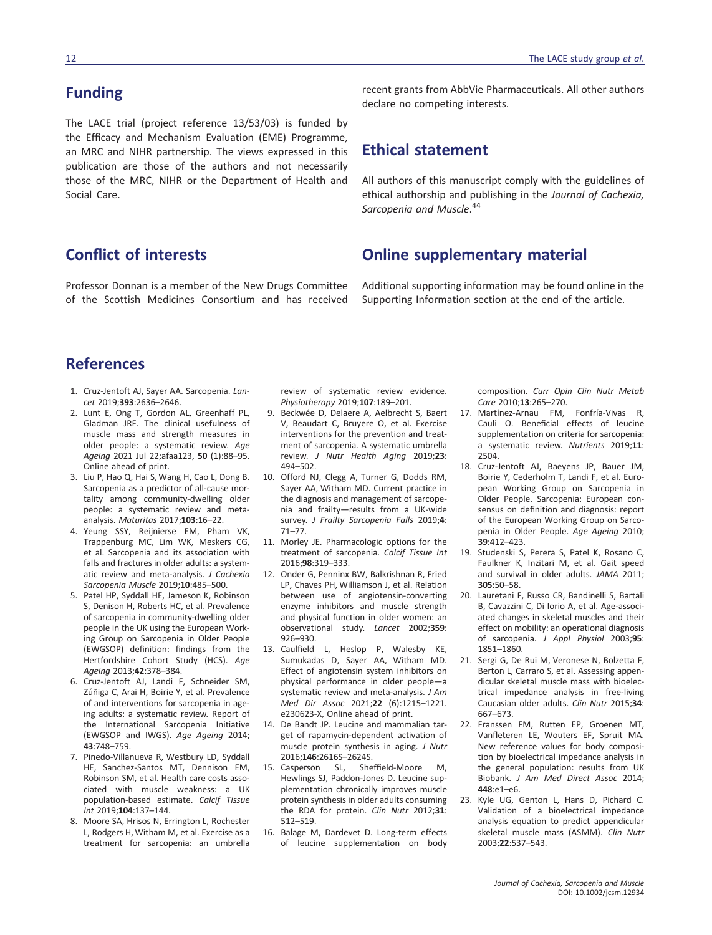## **Funding**

The LACE trial (project reference 13/53/03) is funded by the Efficacy and Mechanism Evaluation (EME) Programme, an MRC and NIHR partnership. The views expressed in this publication are those of the authors and not necessarily those of the MRC, NIHR or the Department of Health and Social Care.

## **Conflict of interests**

Professor Donnan is a member of the New Drugs Committee of the Scottish Medicines Consortium and has received

recent grants from AbbVie Pharmaceuticals. All other authors declare no competing interests.

## **Ethical statement**

All authors of this manuscript comply with the guidelines of ethical authorship and publishing in the *Journal of Cachexia, Sarcopenia and Muscle*. 44

## **Online supplementary material**

Additional supporting information may be found online in the Supporting Information section at the end of the article.

## **References**

- 1. Cruz-Jentoft AJ, Sayer AA. Sarcopenia. *Lancet* 2019;**393**:2636–2646.
- 2. Lunt E, Ong T, Gordon AL, Greenhaff PL, Gladman JRF. The clinical usefulness of muscle mass and strength measures in older people: a systematic review. *Age Ageing* 2021 Jul 22;afaa123, **50** (1):88–95. Online ahead of print.
- 3. Liu P, Hao Q, Hai S, Wang H, Cao L, Dong B. Sarcopenia as a predictor of all-cause mortality among community-dwelling older people: a systematic review and metaanalysis. *Maturitas* 2017;**103**:16–22.
- 4. Yeung SSY, Reijnierse EM, Pham VK, Trappenburg MC, Lim WK, Meskers CG, et al. Sarcopenia and its association with falls and fractures in older adults: a systematic review and meta-analysis. *J Cachexia Sarcopenia Muscle* 2019;**10**:485–500.
- 5. Patel HP, Syddall HE, Jameson K, Robinson S, Denison H, Roberts HC, et al. Prevalence of sarcopenia in community-dwelling older people in the UK using the European Working Group on Sarcopenia in Older People (EWGSOP) definition: findings from the Hertfordshire Cohort Study (HCS). *Age Ageing* 2013;**42**:378–384.
- 6. Cruz-Jentoft AJ, Landi F, Schneider SM, Zúñiga C, Arai H, Boirie Y, et al. Prevalence of and interventions for sarcopenia in ageing adults: a systematic review. Report of the International Sarcopenia Initiative (EWGSOP and IWGS). *Age Ageing* 2014; **43**:748–759.
- 7. Pinedo-Villanueva R, Westbury LD, Syddall HE, Sanchez-Santos MT, Dennison EM, Robinson SM, et al. Health care costs associated with muscle weakness: a UK population-based estimate. *Calcif Tissue Int* 2019;**104**:137–144.
- 8. Moore SA, Hrisos N, Errington L, Rochester L, Rodgers H, Witham M, et al. Exercise as a treatment for sarcopenia: an umbrella

review of systematic review evidence. *Physiotherapy* 2019;**107**:189–201.

- 9. Beckwée D, Delaere A, Aelbrecht S, Baert V, Beaudart C, Bruyere O, et al. Exercise interventions for the prevention and treatment of sarcopenia. A systematic umbrella review. *J Nutr Health Aging* 2019;**23**: 494–502.
- 10. Offord NJ, Clegg A, Turner G, Dodds RM, Sayer AA, Witham MD. Current practice in the diagnosis and management of sarcopenia and frailty—results from a UK-wide survey. *J Frailty Sarcopenia Falls* 2019;**4**: 71–77.
- 11. Morley JE. Pharmacologic options for the treatment of sarcopenia. *Calcif Tissue Int* 2016;**98**:319–333.
- 12. Onder G, Penninx BW, Balkrishnan R, Fried LP, Chaves PH, Williamson J, et al. Relation between use of angiotensin-converting enzyme inhibitors and muscle strength and physical function in older women: an observational study. *Lancet* 2002;**359**: 926–930.
- 13. Caulfield L, Heslop P, Walesby KE, Sumukadas D, Sayer AA, Witham MD. Effect of angiotensin system inhibitors on physical performance in older people—a systematic review and meta-analysis. *J Am Med Dir Assoc* 2021;**22** (6):1215–1221. e230623-X, Online ahead of print.
- 14. De Bandt JP. Leucine and mammalian target of rapamycin-dependent activation of muscle protein synthesis in aging. *J Nutr* 2016;**146**:2616S–2624S.
- 15. Casperson SL, Sheffield-Moore M, Hewlings SJ, Paddon-Jones D. Leucine supplementation chronically improves muscle protein synthesis in older adults consuming the RDA for protein. *Clin Nutr* 2012;**31**: 512–519.
- 16. Balage M, Dardevet D. Long-term effects of leucine supplementation on body

composition. *Curr Opin Clin Nutr Metab Care* 2010;**13**:265–270.

- 17. Martínez-Arnau FM, Fonfría-Vivas R, Cauli O. Beneficial effects of leucine supplementation on criteria for sarcopenia: a systematic review. *Nutrients* 2019;**11**: 2504.
- 18. Cruz-Jentoft AJ, Baeyens JP, Bauer JM, Boirie Y, Cederholm T, Landi F, et al. European Working Group on Sarcopenia in Older People. Sarcopenia: European consensus on definition and diagnosis: report of the European Working Group on Sarcopenia in Older People. *Age Ageing* 2010; **39**:412–423.
- 19. Studenski S, Perera S, Patel K, Rosano C, Faulkner K, Inzitari M, et al. Gait speed and survival in older adults. *JAMA* 2011; **305**:50–58.
- 20. Lauretani F, Russo CR, Bandinelli S, Bartali B, Cavazzini C, Di Iorio A, et al. Age-associated changes in skeletal muscles and their effect on mobility: an operational diagnosis of sarcopenia. *J Appl Physiol* 2003;**95**: 1851–1860.
- 21. Sergi G, De Rui M, Veronese N, Bolzetta F, Berton L, Carraro S, et al. Assessing appendicular skeletal muscle mass with bioelectrical impedance analysis in free-living Caucasian older adults. *Clin Nutr* 2015;**34**: 667–673.
- 22. Franssen FM, Rutten EP, Groenen MT, Vanfleteren LE, Wouters EF, Spruit MA. New reference values for body composition by bioelectrical impedance analysis in the general population: results from UK Biobank. *J Am Med Direct Assoc* 2014; **448**:e1–e6.
- 23. Kyle UG, Genton L, Hans D, Pichard C. Validation of a bioelectrical impedance analysis equation to predict appendicular skeletal muscle mass (ASMM). *Clin Nutr* 2003;**22**:537–543.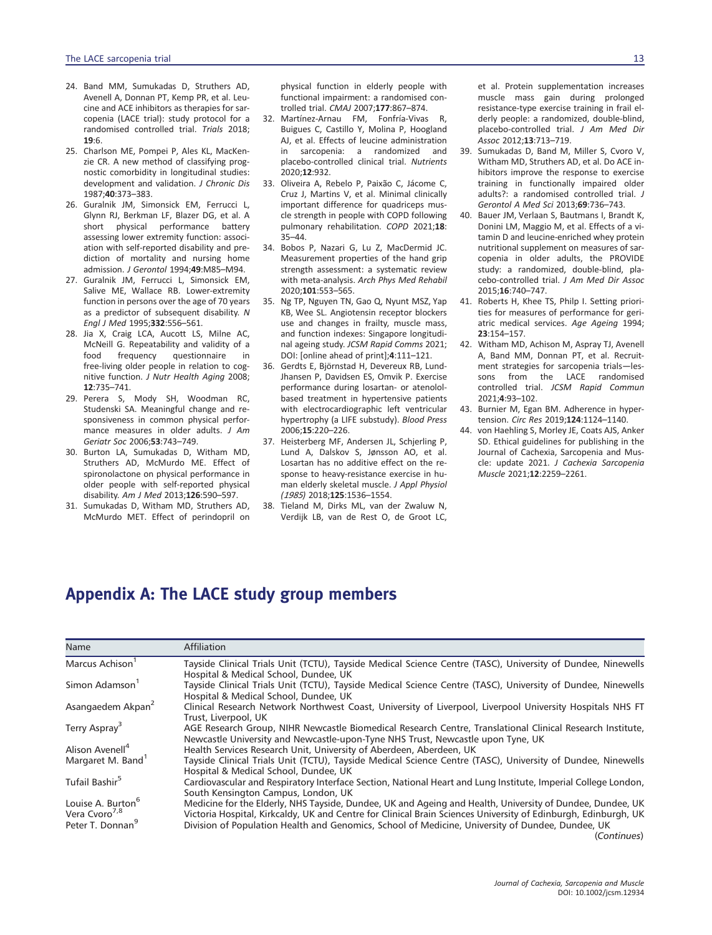- 24. Band MM, Sumukadas D, Struthers AD, Avenell A, Donnan PT, Kemp PR, et al. Leucine and ACE inhibitors as therapies for sarcopenia (LACE trial): study protocol for a randomised controlled trial. *Trials* 2018; **19**:6.
- 25. Charlson ME, Pompei P, Ales KL, MacKenzie CR. A new method of classifying prognostic comorbidity in longitudinal studies: development and validation. *J Chronic Dis* 1987;**40**:373–383.
- 26. Guralnik JM, Simonsick EM, Ferrucci L, Glynn RJ, Berkman LF, Blazer DG, et al. A short physical performance battery assessing lower extremity function: association with self-reported disability and prediction of mortality and nursing home admission. *J Gerontol* 1994;**49**:M85–M94.
- 27. Guralnik JM, Ferrucci L, Simonsick EM, Salive ME, Wallace RB. Lower-extremity function in persons over the age of 70 years as a predictor of subsequent disability. *N Engl J Med* 1995;**332**:556–561.
- 28. Jia X, Craig LCA, Aucott LS, Milne AC, McNeill G. Repeatability and validity of a<br>food frequency questionnaire in questionnaire free-living older people in relation to cognitive function. *J Nutr Health Aging* 2008; **12**:735–741.
- 29. Perera S, Mody SH, Woodman RC, Studenski SA. Meaningful change and responsiveness in common physical performance measures in older adults. *J Am Geriatr Soc* 2006;**53**:743–749.
- 30. Burton LA, Sumukadas D, Witham MD, Struthers AD, McMurdo ME. Effect of spironolactone on physical performance in older people with self-reported physical disability. *Am J Med* 2013;**126**:590–597.
- 31. Sumukadas D, Witham MD, Struthers AD, McMurdo MET. Effect of perindopril on

physical function in elderly people with functional impairment: a randomised controlled trial. *CMAJ* 2007;**177**:867–874.

- 32. Martínez-Arnau FM, Fonfría-Vivas R, Buigues C, Castillo Y, Molina P, Hoogland AJ, et al. Effects of leucine administration in sarcopenia: a randomized and placebo-controlled clinical trial. *Nutrients* 2020;**12**:932.
- 33. Oliveira A, Rebelo P, Paixão C, Jácome C, Cruz J, Martins V, et al. Minimal clinically important difference for quadriceps muscle strength in people with COPD following pulmonary rehabilitation. *COPD* 2021;**18**: 35–44.
- 34. Bobos P, Nazari G, Lu Z, MacDermid JC. Measurement properties of the hand grip strength assessment: a systematic review with meta-analysis. *Arch Phys Med Rehabil* 2020;**101**:553–565.
- 35. Ng TP, Nguyen TN, Gao Q, Nyunt MSZ, Yap KB, Wee SL. Angiotensin receptor blockers use and changes in frailty, muscle mass, and function indexes: Singapore longitudinal ageing study. *JCSM Rapid Comms* 2021; DOI: [online ahead of print];**4**:111–121.
- 36. Gerdts E, Björnstad H, Devereux RB, Lund-Jhansen P, Davidsen ES, Omvik P. Exercise performance during losartan- or atenololbased treatment in hypertensive patients with electrocardiographic left ventricular hypertrophy (a LIFE substudy). *Blood Press* 2006;**15**:220–226.
- 37. Heisterberg MF, Andersen JL, Schjerling P, Lund A, Dalskov S, Jønsson AO, et al. Losartan has no additive effect on the response to heavy-resistance exercise in human elderly skeletal muscle. *J Appl Physiol (1985)* 2018;**125**:1536–1554.
- 38. Tieland M, Dirks ML, van der Zwaluw N, Verdijk LB, van de Rest O, de Groot LC,

et al. Protein supplementation increases muscle mass gain during prolonged resistance-type exercise training in frail elderly people: a randomized, double-blind, placebo-controlled trial. *J Am Med Dir Assoc* 2012;**13**:713–719.

- 39. Sumukadas D, Band M, Miller S, Cvoro V, Witham MD, Struthers AD, et al. Do ACE inhibitors improve the response to exercise training in functionally impaired older adults?: a randomised controlled trial. *J Gerontol A Med Sci* 2013;**69**:736–743.
- 40. Bauer JM, Verlaan S, Bautmans I, Brandt K, Donini LM, Maggio M, et al. Effects of a vitamin D and leucine-enriched whey protein nutritional supplement on measures of sarcopenia in older adults, the PROVIDE study: a randomized, double-blind, placebo-controlled trial. *J Am Med Dir Assoc* 2015;**16**:740–747.
- 41. Roberts H, Khee TS, Philp I. Setting priorities for measures of performance for geriatric medical services. *Age Ageing* 1994; **23**:154–157.
- 42. Witham MD, Achison M, Aspray TJ, Avenell A, Band MM, Donnan PT, et al. Recruitment strategies for sarcopenia trials-les-<br>sons from the LACE randomised from the LACE randomised controlled trial. *JCSM Rapid Commun* 2021;**4**:93–102.
- 43. Burnier M, Egan BM. Adherence in hypertension. *Circ Res* 2019;**124**:1124–1140.
- 44. von Haehling S, Morley JE, Coats AJS, Anker SD. Ethical guidelines for publishing in the Journal of Cachexia, Sarcopenia and Muscle: update 2021. *J Cachexia Sarcopenia Muscle* 2021;**12**:2259–2261.

## Appendix A: The LACE study group members

| Name                                                                                       | <b>Affiliation</b>                                                                                                                                                                                                                                                                                                                             |
|--------------------------------------------------------------------------------------------|------------------------------------------------------------------------------------------------------------------------------------------------------------------------------------------------------------------------------------------------------------------------------------------------------------------------------------------------|
| Marcus Achison <sup>1</sup>                                                                | Tayside Clinical Trials Unit (TCTU), Tayside Medical Science Centre (TASC), University of Dundee, Ninewells<br>Hospital & Medical School, Dundee, UK                                                                                                                                                                                           |
| Simon Adamson <sup>1</sup>                                                                 | Tayside Clinical Trials Unit (TCTU), Tayside Medical Science Centre (TASC), University of Dundee, Ninewells<br>Hospital & Medical School, Dundee, UK                                                                                                                                                                                           |
| Asangaedem Akpan <sup>2</sup>                                                              | Clinical Research Network Northwest Coast, University of Liverpool, Liverpool University Hospitals NHS FT<br>Trust, Liverpool, UK                                                                                                                                                                                                              |
| Terry Aspray <sup>3</sup>                                                                  | AGE Research Group, NIHR Newcastle Biomedical Research Centre, Translational Clinical Research Institute,<br>Newcastle University and Newcastle-upon-Tyne NHS Trust, Newcastle upon Tyne, UK                                                                                                                                                   |
| Alison Avenell <sup>4</sup>                                                                | Health Services Research Unit, University of Aberdeen, Aberdeen, UK                                                                                                                                                                                                                                                                            |
| Margaret M. Band <sup>1</sup>                                                              | Tayside Clinical Trials Unit (TCTU), Tayside Medical Science Centre (TASC), University of Dundee, Ninewells<br>Hospital & Medical School, Dundee, UK                                                                                                                                                                                           |
| Tufail Bashir <sup>5</sup>                                                                 | Cardiovascular and Respiratory Interface Section, National Heart and Lung Institute, Imperial College London,<br>South Kensington Campus, London, UK                                                                                                                                                                                           |
| Louise A. Burton <sup>6</sup><br>Vera Cvoro <sup>7,8</sup><br>Peter T. Donnan <sup>9</sup> | Medicine for the Elderly, NHS Tayside, Dundee, UK and Ageing and Health, University of Dundee, Dundee, UK<br>Victoria Hospital, Kirkcaldy, UK and Centre for Clinical Brain Sciences University of Edinburgh, Edinburgh, UK<br>Division of Population Health and Genomics, School of Medicine, University of Dundee, Dundee, UK<br>(Continues) |